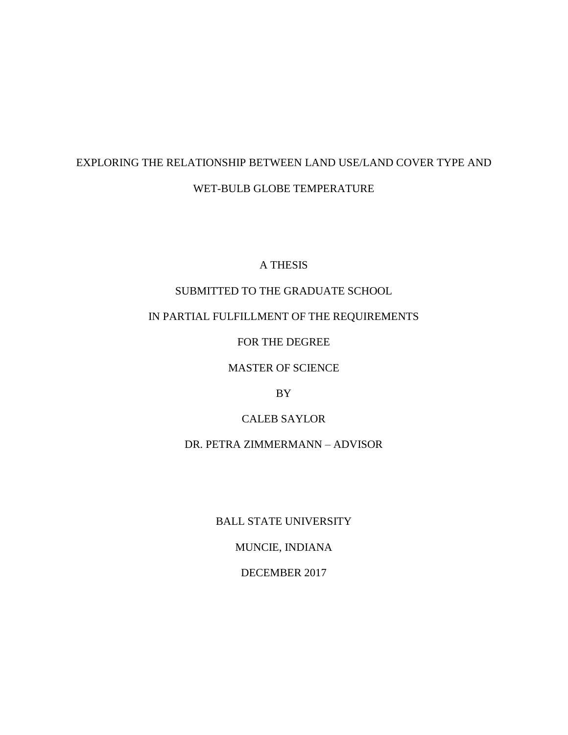# EXPLORING THE RELATIONSHIP BETWEEN LAND USE/LAND COVER TYPE AND WET-BULB GLOBE TEMPERATURE

A THESIS

## SUBMITTED TO THE GRADUATE SCHOOL

## IN PARTIAL FULFILLMENT OF THE REQUIREMENTS

FOR THE DEGREE

MASTER OF SCIENCE

BY

## CALEB SAYLOR

## DR. PETRA ZIMMERMANN – ADVISOR

BALL STATE UNIVERSITY

MUNCIE, INDIANA

DECEMBER 2017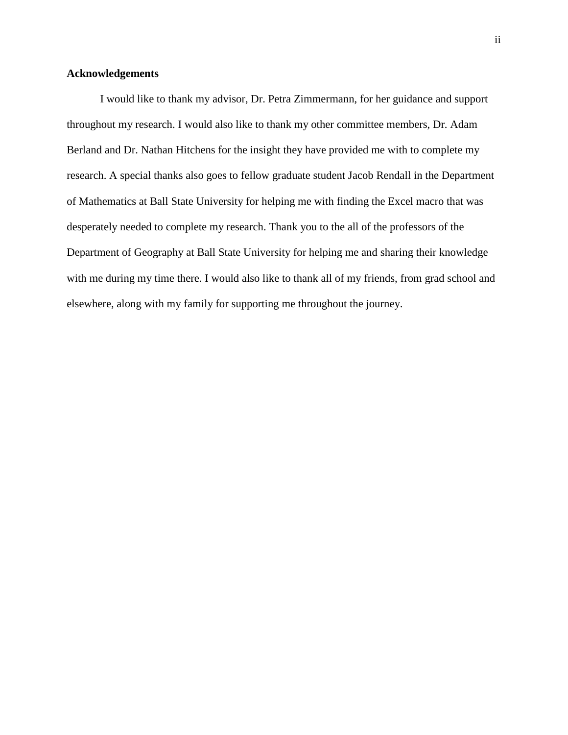## **Acknowledgements**

I would like to thank my advisor, Dr. Petra Zimmermann, for her guidance and support throughout my research. I would also like to thank my other committee members, Dr. Adam Berland and Dr. Nathan Hitchens for the insight they have provided me with to complete my research. A special thanks also goes to fellow graduate student Jacob Rendall in the Department of Mathematics at Ball State University for helping me with finding the Excel macro that was desperately needed to complete my research. Thank you to the all of the professors of the Department of Geography at Ball State University for helping me and sharing their knowledge with me during my time there. I would also like to thank all of my friends, from grad school and elsewhere, along with my family for supporting me throughout the journey.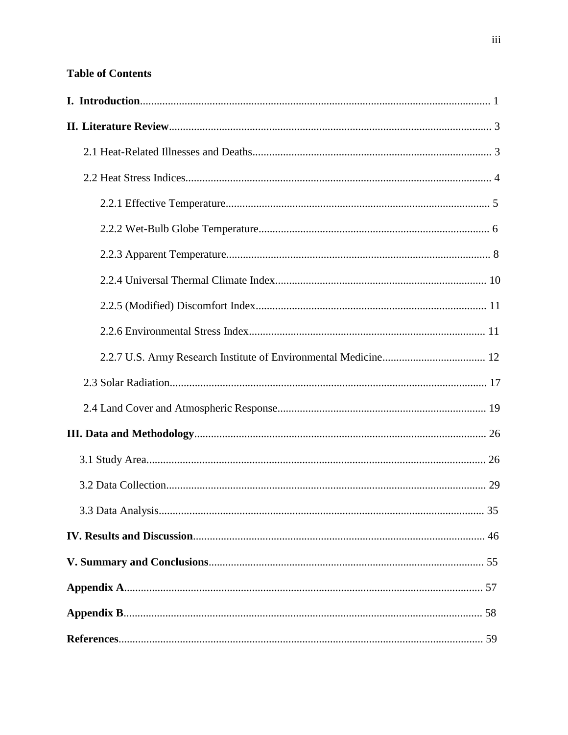## **Table of Contents**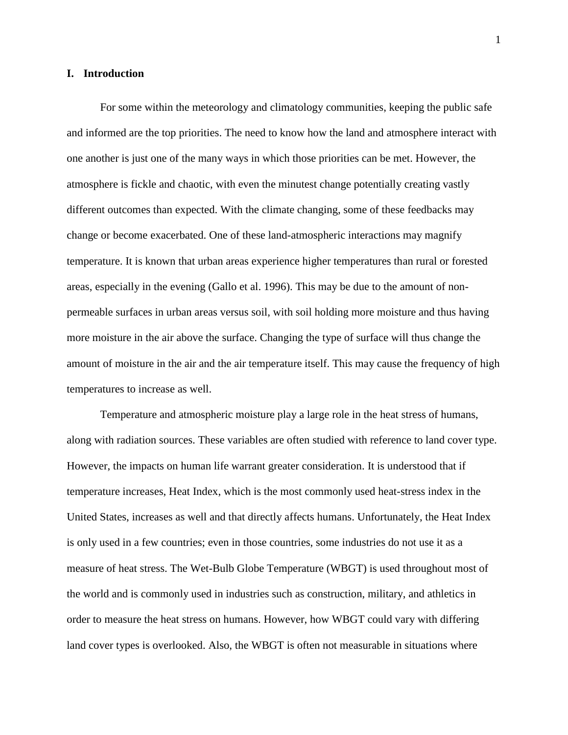#### **I. Introduction**

For some within the meteorology and climatology communities, keeping the public safe and informed are the top priorities. The need to know how the land and atmosphere interact with one another is just one of the many ways in which those priorities can be met. However, the atmosphere is fickle and chaotic, with even the minutest change potentially creating vastly different outcomes than expected. With the climate changing, some of these feedbacks may change or become exacerbated. One of these land-atmospheric interactions may magnify temperature. It is known that urban areas experience higher temperatures than rural or forested areas, especially in the evening (Gallo et al. 1996). This may be due to the amount of nonpermeable surfaces in urban areas versus soil, with soil holding more moisture and thus having more moisture in the air above the surface. Changing the type of surface will thus change the amount of moisture in the air and the air temperature itself. This may cause the frequency of high temperatures to increase as well.

Temperature and atmospheric moisture play a large role in the heat stress of humans, along with radiation sources. These variables are often studied with reference to land cover type. However, the impacts on human life warrant greater consideration. It is understood that if temperature increases, Heat Index, which is the most commonly used heat-stress index in the United States, increases as well and that directly affects humans. Unfortunately, the Heat Index is only used in a few countries; even in those countries, some industries do not use it as a measure of heat stress. The Wet-Bulb Globe Temperature (WBGT) is used throughout most of the world and is commonly used in industries such as construction, military, and athletics in order to measure the heat stress on humans. However, how WBGT could vary with differing land cover types is overlooked. Also, the WBGT is often not measurable in situations where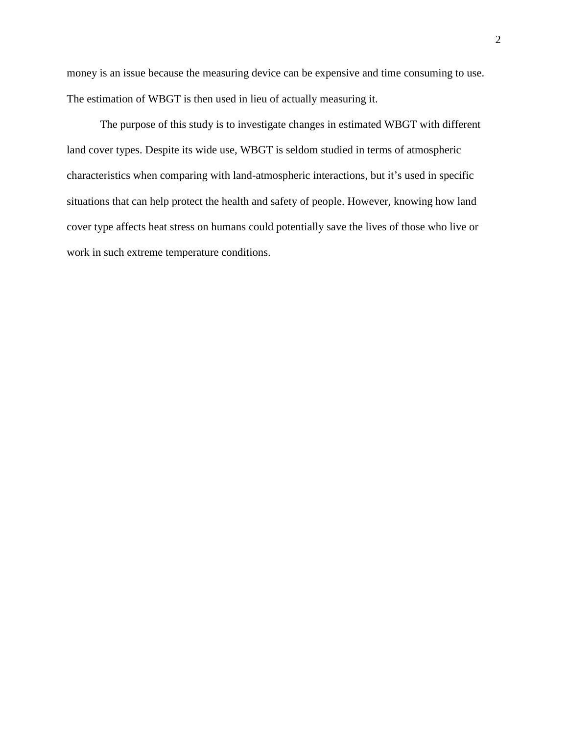money is an issue because the measuring device can be expensive and time consuming to use. The estimation of WBGT is then used in lieu of actually measuring it.

The purpose of this study is to investigate changes in estimated WBGT with different land cover types. Despite its wide use, WBGT is seldom studied in terms of atmospheric characteristics when comparing with land-atmospheric interactions, but it's used in specific situations that can help protect the health and safety of people. However, knowing how land cover type affects heat stress on humans could potentially save the lives of those who live or work in such extreme temperature conditions.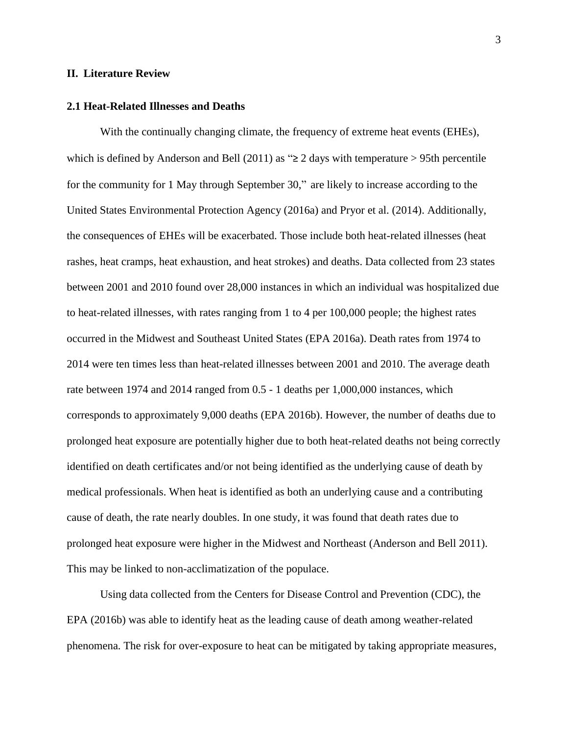#### **II. Literature Review**

#### **2.1 Heat-Related Illnesses and Deaths**

With the continually changing climate, the frequency of extreme heat events (EHEs), which is defined by Anderson and Bell (2011) as " $\geq$  2 days with temperature > 95th percentile for the community for 1 May through September 30," are likely to increase according to the United States Environmental Protection Agency (2016a) and Pryor et al. (2014). Additionally, the consequences of EHEs will be exacerbated. Those include both heat-related illnesses (heat rashes, heat cramps, heat exhaustion, and heat strokes) and deaths. Data collected from 23 states between 2001 and 2010 found over 28,000 instances in which an individual was hospitalized due to heat-related illnesses, with rates ranging from 1 to 4 per 100,000 people; the highest rates occurred in the Midwest and Southeast United States (EPA 2016a). Death rates from 1974 to 2014 were ten times less than heat-related illnesses between 2001 and 2010. The average death rate between 1974 and 2014 ranged from 0.5 - 1 deaths per 1,000,000 instances, which corresponds to approximately 9,000 deaths (EPA 2016b). However, the number of deaths due to prolonged heat exposure are potentially higher due to both heat-related deaths not being correctly identified on death certificates and/or not being identified as the underlying cause of death by medical professionals. When heat is identified as both an underlying cause and a contributing cause of death, the rate nearly doubles. In one study, it was found that death rates due to prolonged heat exposure were higher in the Midwest and Northeast (Anderson and Bell 2011). This may be linked to non-acclimatization of the populace.

Using data collected from the Centers for Disease Control and Prevention (CDC), the EPA (2016b) was able to identify heat as the leading cause of death among weather-related phenomena. The risk for over-exposure to heat can be mitigated by taking appropriate measures,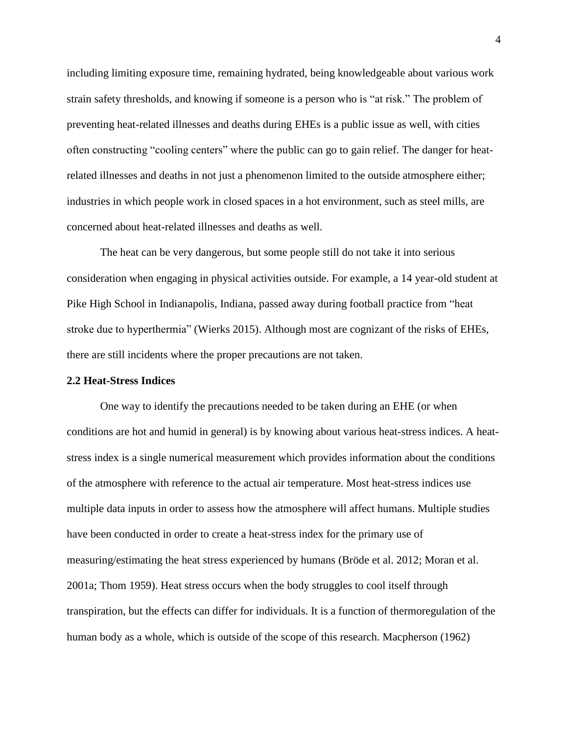including limiting exposure time, remaining hydrated, being knowledgeable about various work strain safety thresholds, and knowing if someone is a person who is "at risk." The problem of preventing heat-related illnesses and deaths during EHEs is a public issue as well, with cities often constructing "cooling centers" where the public can go to gain relief. The danger for heatrelated illnesses and deaths in not just a phenomenon limited to the outside atmosphere either; industries in which people work in closed spaces in a hot environment, such as steel mills, are concerned about heat-related illnesses and deaths as well.

The heat can be very dangerous, but some people still do not take it into serious consideration when engaging in physical activities outside. For example, a 14 year-old student at Pike High School in Indianapolis, Indiana, passed away during football practice from "heat stroke due to hyperthermia" (Wierks 2015). Although most are cognizant of the risks of EHEs, there are still incidents where the proper precautions are not taken.

#### **2.2 Heat-Stress Indices**

One way to identify the precautions needed to be taken during an EHE (or when conditions are hot and humid in general) is by knowing about various heat-stress indices. A heatstress index is a single numerical measurement which provides information about the conditions of the atmosphere with reference to the actual air temperature. Most heat-stress indices use multiple data inputs in order to assess how the atmosphere will affect humans. Multiple studies have been conducted in order to create a heat-stress index for the primary use of measuring/estimating the heat stress experienced by humans (Bröde et al. 2012; Moran et al. 2001a; Thom 1959). Heat stress occurs when the body struggles to cool itself through transpiration, but the effects can differ for individuals. It is a function of thermoregulation of the human body as a whole, which is outside of the scope of this research. Macpherson (1962)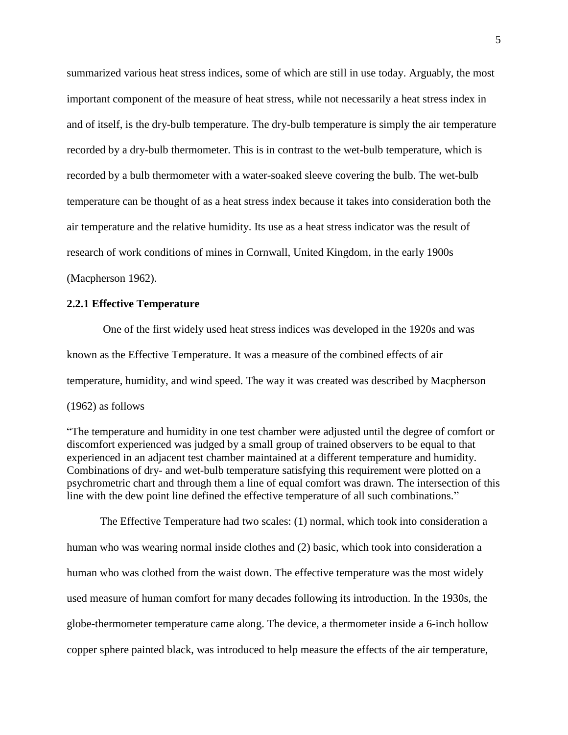summarized various heat stress indices, some of which are still in use today. Arguably, the most important component of the measure of heat stress, while not necessarily a heat stress index in and of itself, is the dry-bulb temperature. The dry-bulb temperature is simply the air temperature recorded by a dry-bulb thermometer. This is in contrast to the wet-bulb temperature, which is recorded by a bulb thermometer with a water-soaked sleeve covering the bulb. The wet-bulb temperature can be thought of as a heat stress index because it takes into consideration both the air temperature and the relative humidity. Its use as a heat stress indicator was the result of research of work conditions of mines in Cornwall, United Kingdom, in the early 1900s (Macpherson 1962).

#### **2.2.1 Effective Temperature**

One of the first widely used heat stress indices was developed in the 1920s and was known as the Effective Temperature. It was a measure of the combined effects of air temperature, humidity, and wind speed. The way it was created was described by Macpherson (1962) as follows

"The temperature and humidity in one test chamber were adjusted until the degree of comfort or discomfort experienced was judged by a small group of trained observers to be equal to that experienced in an adjacent test chamber maintained at a different temperature and humidity. Combinations of dry- and wet-bulb temperature satisfying this requirement were plotted on a psychrometric chart and through them a line of equal comfort was drawn. The intersection of this line with the dew point line defined the effective temperature of all such combinations."

The Effective Temperature had two scales: (1) normal, which took into consideration a human who was wearing normal inside clothes and (2) basic, which took into consideration a human who was clothed from the waist down. The effective temperature was the most widely used measure of human comfort for many decades following its introduction. In the 1930s, the globe-thermometer temperature came along. The device, a thermometer inside a 6-inch hollow copper sphere painted black, was introduced to help measure the effects of the air temperature,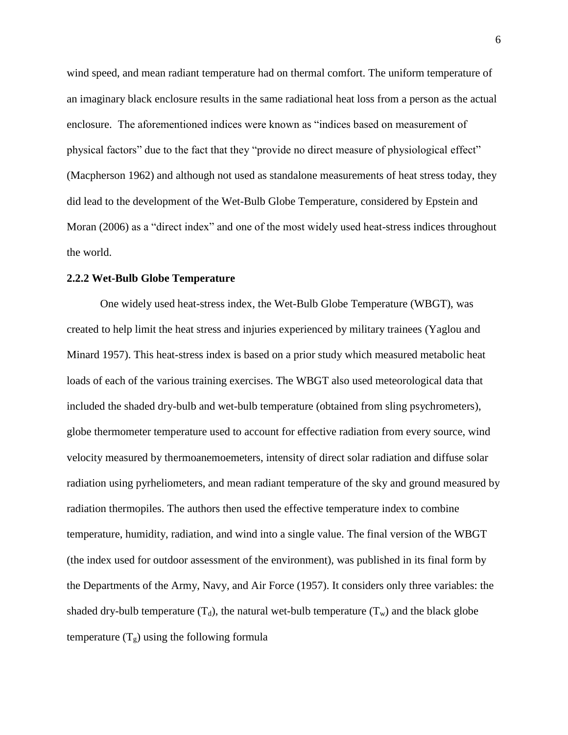wind speed, and mean radiant temperature had on thermal comfort. The uniform temperature of an imaginary black enclosure results in the same radiational heat loss from a person as the actual enclosure. The aforementioned indices were known as "indices based on measurement of physical factors" due to the fact that they "provide no direct measure of physiological effect" (Macpherson 1962) and although not used as standalone measurements of heat stress today, they did lead to the development of the Wet-Bulb Globe Temperature, considered by Epstein and Moran (2006) as a "direct index" and one of the most widely used heat-stress indices throughout the world.

#### **2.2.2 Wet-Bulb Globe Temperature**

One widely used heat-stress index, the Wet-Bulb Globe Temperature (WBGT), was created to help limit the heat stress and injuries experienced by military trainees (Yaglou and Minard 1957). This heat-stress index is based on a prior study which measured metabolic heat loads of each of the various training exercises. The WBGT also used meteorological data that included the shaded dry-bulb and wet-bulb temperature (obtained from sling psychrometers), globe thermometer temperature used to account for effective radiation from every source, wind velocity measured by thermoanemoemeters, intensity of direct solar radiation and diffuse solar radiation using pyrheliometers, and mean radiant temperature of the sky and ground measured by radiation thermopiles. The authors then used the effective temperature index to combine temperature, humidity, radiation, and wind into a single value. The final version of the WBGT (the index used for outdoor assessment of the environment), was published in its final form by the Departments of the Army, Navy, and Air Force (1957). It considers only three variables: the shaded dry-bulb temperature  $(T_d)$ , the natural wet-bulb temperature  $(T_w)$  and the black globe temperature  $(T_g)$  using the following formula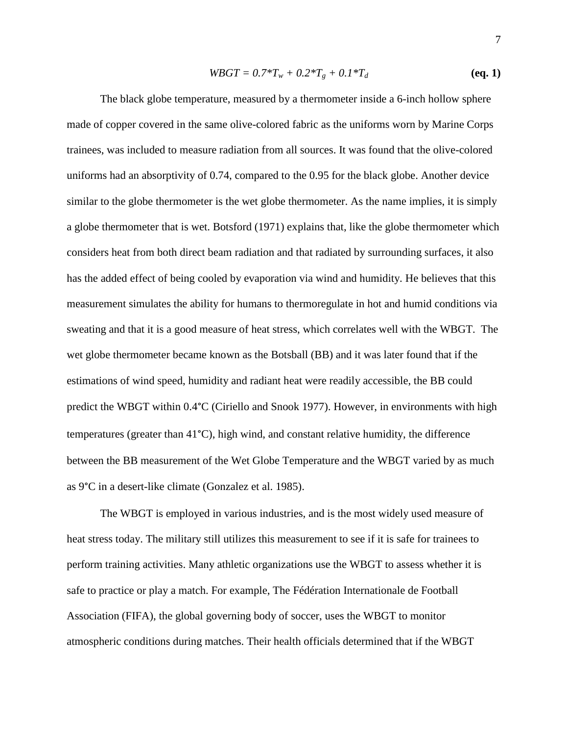$$
WBGT = 0.7^*T_w + 0.2^*T_g + 0.1^*T_d
$$
 (eq. 1)

The black globe temperature, measured by a thermometer inside a 6-inch hollow sphere made of copper covered in the same olive-colored fabric as the uniforms worn by Marine Corps trainees, was included to measure radiation from all sources. It was found that the olive-colored uniforms had an absorptivity of 0.74, compared to the 0.95 for the black globe. Another device similar to the globe thermometer is the wet globe thermometer. As the name implies, it is simply a globe thermometer that is wet. Botsford (1971) explains that, like the globe thermometer which considers heat from both direct beam radiation and that radiated by surrounding surfaces, it also has the added effect of being cooled by evaporation via wind and humidity. He believes that this measurement simulates the ability for humans to thermoregulate in hot and humid conditions via sweating and that it is a good measure of heat stress, which correlates well with the WBGT. The wet globe thermometer became known as the Botsball (BB) and it was later found that if the estimations of wind speed, humidity and radiant heat were readily accessible, the BB could predict the WBGT within 0.4°C (Ciriello and Snook 1977). However, in environments with high temperatures (greater than 41°C), high wind, and constant relative humidity, the difference between the BB measurement of the Wet Globe Temperature and the WBGT varied by as much as 9°C in a desert-like climate (Gonzalez et al. 1985).

The WBGT is employed in various industries, and is the most widely used measure of heat stress today. The military still utilizes this measurement to see if it is safe for trainees to perform training activities. Many athletic organizations use the WBGT to assess whether it is safe to practice or play a match. For example, The Fédération Internationale de Football Association (FIFA), the global governing body of soccer, uses the WBGT to monitor atmospheric conditions during matches. Their health officials determined that if the WBGT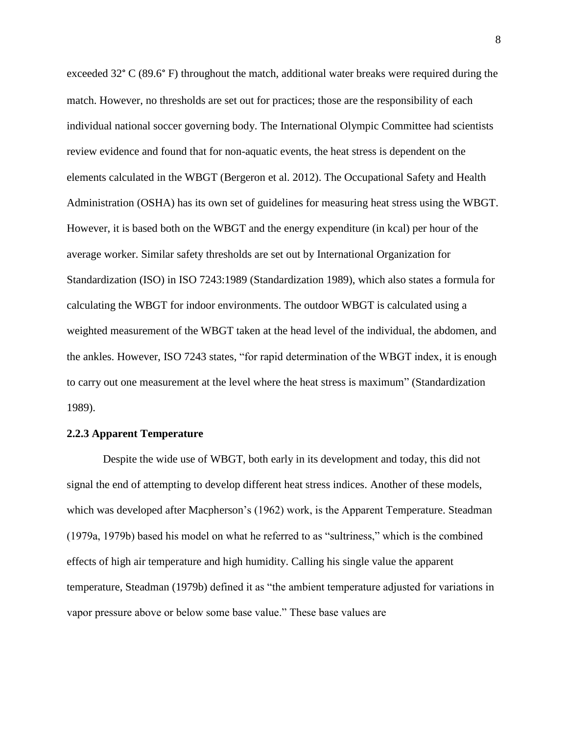exceeded 32° C (89.6° F) throughout the match, additional water breaks were required during the match. However, no thresholds are set out for practices; those are the responsibility of each individual national soccer governing body. The International Olympic Committee had scientists review evidence and found that for non-aquatic events, the heat stress is dependent on the elements calculated in the WBGT (Bergeron et al. 2012). The Occupational Safety and Health Administration (OSHA) has its own set of guidelines for measuring heat stress using the WBGT. However, it is based both on the WBGT and the energy expenditure (in kcal) per hour of the average worker. Similar safety thresholds are set out by International Organization for Standardization (ISO) in ISO 7243:1989 (Standardization 1989), which also states a formula for calculating the WBGT for indoor environments. The outdoor WBGT is calculated using a weighted measurement of the WBGT taken at the head level of the individual, the abdomen, and the ankles. However, ISO 7243 states, "for rapid determination of the WBGT index, it is enough to carry out one measurement at the level where the heat stress is maximum" (Standardization 1989).

#### **2.2.3 Apparent Temperature**

Despite the wide use of WBGT, both early in its development and today, this did not signal the end of attempting to develop different heat stress indices. Another of these models, which was developed after Macpherson's (1962) work, is the Apparent Temperature. Steadman (1979a, 1979b) based his model on what he referred to as "sultriness," which is the combined effects of high air temperature and high humidity. Calling his single value the apparent temperature, Steadman (1979b) defined it as "the ambient temperature adjusted for variations in vapor pressure above or below some base value." These base values are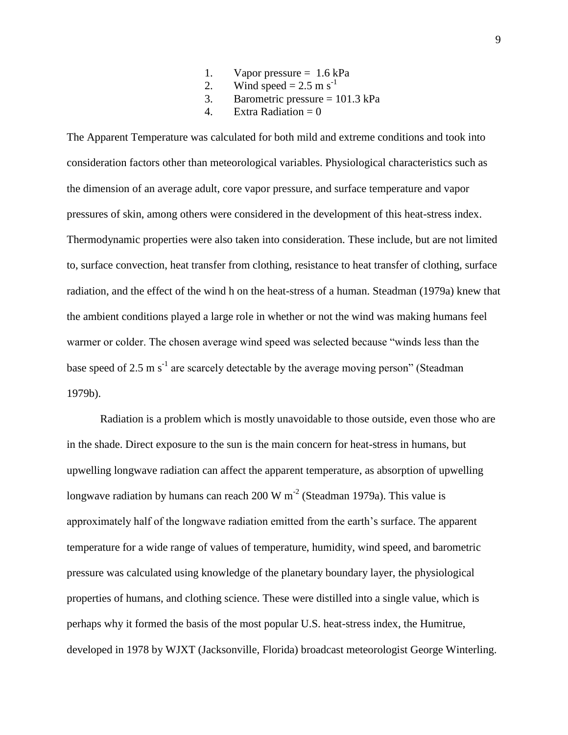- 1. Vapor pressure  $= 1.6$  kPa
- 2. Wind speed =  $2.5 \text{ m s}^{-1}$
- 3. Barometric pressure  $= 101.3 \text{ kPa}$
- 4. Extra Radiation  $= 0$

The Apparent Temperature was calculated for both mild and extreme conditions and took into consideration factors other than meteorological variables. Physiological characteristics such as the dimension of an average adult, core vapor pressure, and surface temperature and vapor pressures of skin, among others were considered in the development of this heat-stress index. Thermodynamic properties were also taken into consideration. These include, but are not limited to, surface convection, heat transfer from clothing, resistance to heat transfer of clothing, surface radiation, and the effect of the wind h on the heat-stress of a human. Steadman (1979a) knew that the ambient conditions played a large role in whether or not the wind was making humans feel warmer or colder. The chosen average wind speed was selected because "winds less than the base speed of 2.5 m  $s^{-1}$  are scarcely detectable by the average moving person" (Steadman 1979b).

Radiation is a problem which is mostly unavoidable to those outside, even those who are in the shade. Direct exposure to the sun is the main concern for heat-stress in humans, but upwelling longwave radiation can affect the apparent temperature, as absorption of upwelling longwave radiation by humans can reach  $200 \text{ W m}^{-2}$  (Steadman 1979a). This value is approximately half of the longwave radiation emitted from the earth's surface. The apparent temperature for a wide range of values of temperature, humidity, wind speed, and barometric pressure was calculated using knowledge of the planetary boundary layer, the physiological properties of humans, and clothing science. These were distilled into a single value, which is perhaps why it formed the basis of the most popular U.S. heat-stress index, the Humitrue, developed in 1978 by WJXT (Jacksonville, Florida) broadcast meteorologist George Winterling.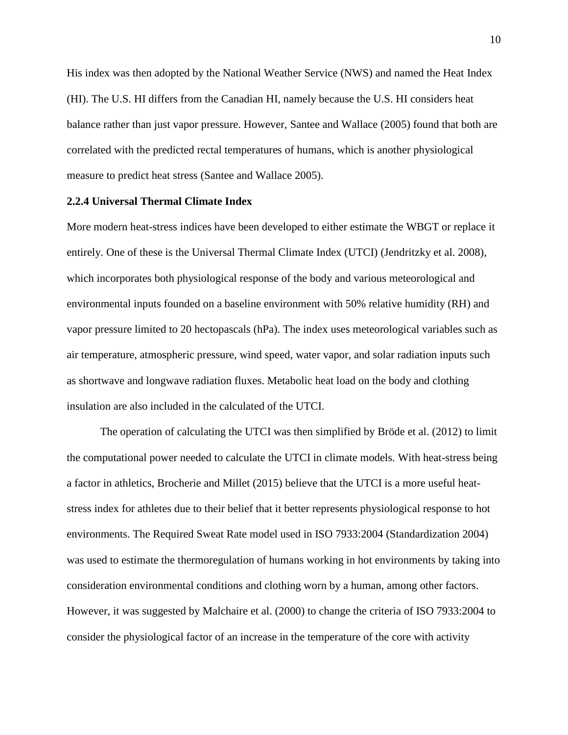His index was then adopted by the National Weather Service (NWS) and named the Heat Index (HI). The U.S. HI differs from the Canadian HI, namely because the U.S. HI considers heat balance rather than just vapor pressure. However, Santee and Wallace (2005) found that both are correlated with the predicted rectal temperatures of humans, which is another physiological measure to predict heat stress (Santee and Wallace 2005).

#### **2.2.4 Universal Thermal Climate Index**

More modern heat-stress indices have been developed to either estimate the WBGT or replace it entirely. One of these is the Universal Thermal Climate Index (UTCI) (Jendritzky et al. 2008), which incorporates both physiological response of the body and various meteorological and environmental inputs founded on a baseline environment with 50% relative humidity (RH) and vapor pressure limited to 20 hectopascals (hPa). The index uses meteorological variables such as air temperature, atmospheric pressure, wind speed, water vapor, and solar radiation inputs such as shortwave and longwave radiation fluxes. Metabolic heat load on the body and clothing insulation are also included in the calculated of the UTCI.

The operation of calculating the UTCI was then simplified by Bröde et al. (2012) to limit the computational power needed to calculate the UTCI in climate models. With heat-stress being a factor in athletics, Brocherie and Millet (2015) believe that the UTCI is a more useful heatstress index for athletes due to their belief that it better represents physiological response to hot environments. The Required Sweat Rate model used in ISO 7933:2004 (Standardization 2004) was used to estimate the thermoregulation of humans working in hot environments by taking into consideration environmental conditions and clothing worn by a human, among other factors. However, it was suggested by Malchaire et al. (2000) to change the criteria of ISO 7933:2004 to consider the physiological factor of an increase in the temperature of the core with activity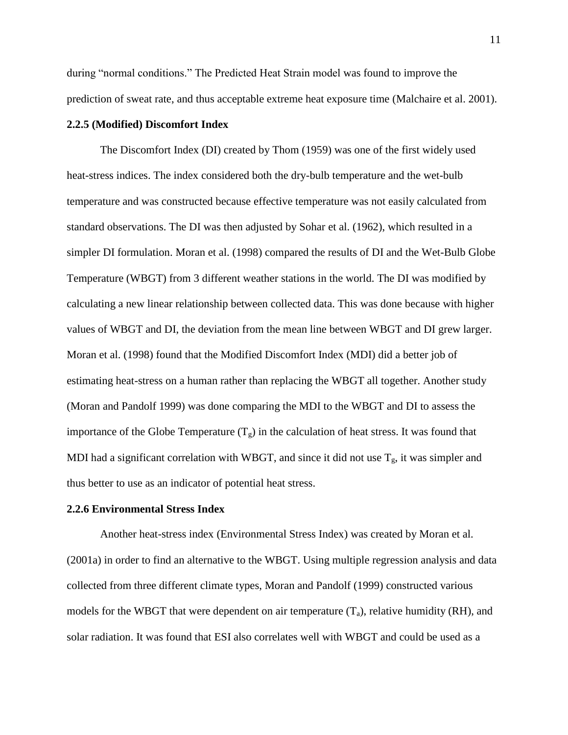during "normal conditions." The Predicted Heat Strain model was found to improve the prediction of sweat rate, and thus acceptable extreme heat exposure time (Malchaire et al. 2001).

#### **2.2.5 (Modified) Discomfort Index**

The Discomfort Index (DI) created by Thom (1959) was one of the first widely used heat-stress indices. The index considered both the dry-bulb temperature and the wet-bulb temperature and was constructed because effective temperature was not easily calculated from standard observations. The DI was then adjusted by Sohar et al. (1962), which resulted in a simpler DI formulation. Moran et al. (1998) compared the results of DI and the Wet-Bulb Globe Temperature (WBGT) from 3 different weather stations in the world. The DI was modified by calculating a new linear relationship between collected data. This was done because with higher values of WBGT and DI, the deviation from the mean line between WBGT and DI grew larger. Moran et al. (1998) found that the Modified Discomfort Index (MDI) did a better job of estimating heat-stress on a human rather than replacing the WBGT all together. Another study (Moran and Pandolf 1999) was done comparing the MDI to the WBGT and DI to assess the importance of the Globe Temperature  $(T_g)$  in the calculation of heat stress. It was found that MDI had a significant correlation with WBGT, and since it did not use  $T_g$ , it was simpler and thus better to use as an indicator of potential heat stress.

#### **2.2.6 Environmental Stress Index**

Another heat-stress index (Environmental Stress Index) was created by Moran et al. (2001a) in order to find an alternative to the WBGT. Using multiple regression analysis and data collected from three different climate types, Moran and Pandolf (1999) constructed various models for the WBGT that were dependent on air temperature  $(T_a)$ , relative humidity (RH), and solar radiation. It was found that ESI also correlates well with WBGT and could be used as a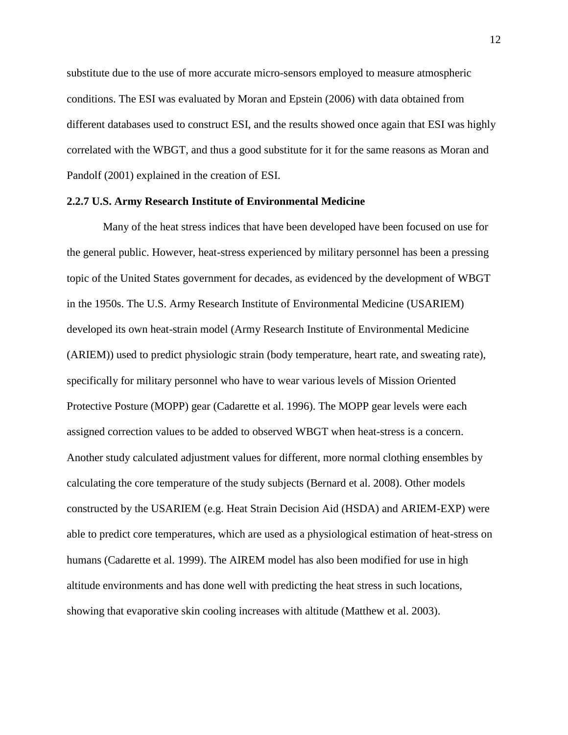substitute due to the use of more accurate micro-sensors employed to measure atmospheric conditions. The ESI was evaluated by Moran and Epstein (2006) with data obtained from different databases used to construct ESI, and the results showed once again that ESI was highly correlated with the WBGT, and thus a good substitute for it for the same reasons as Moran and Pandolf (2001) explained in the creation of ESI.

#### **2.2.7 U.S. Army Research Institute of Environmental Medicine**

Many of the heat stress indices that have been developed have been focused on use for the general public. However, heat-stress experienced by military personnel has been a pressing topic of the United States government for decades, as evidenced by the development of WBGT in the 1950s. The U.S. Army Research Institute of Environmental Medicine (USARIEM) developed its own heat-strain model (Army Research Institute of Environmental Medicine (ARIEM)) used to predict physiologic strain (body temperature, heart rate, and sweating rate), specifically for military personnel who have to wear various levels of Mission Oriented Protective Posture (MOPP) gear (Cadarette et al. 1996). The MOPP gear levels were each assigned correction values to be added to observed WBGT when heat-stress is a concern. Another study calculated adjustment values for different, more normal clothing ensembles by calculating the core temperature of the study subjects (Bernard et al. 2008). Other models constructed by the USARIEM (e.g. Heat Strain Decision Aid (HSDA) and ARIEM-EXP) were able to predict core temperatures, which are used as a physiological estimation of heat-stress on humans (Cadarette et al. 1999). The AIREM model has also been modified for use in high altitude environments and has done well with predicting the heat stress in such locations, showing that evaporative skin cooling increases with altitude (Matthew et al. 2003).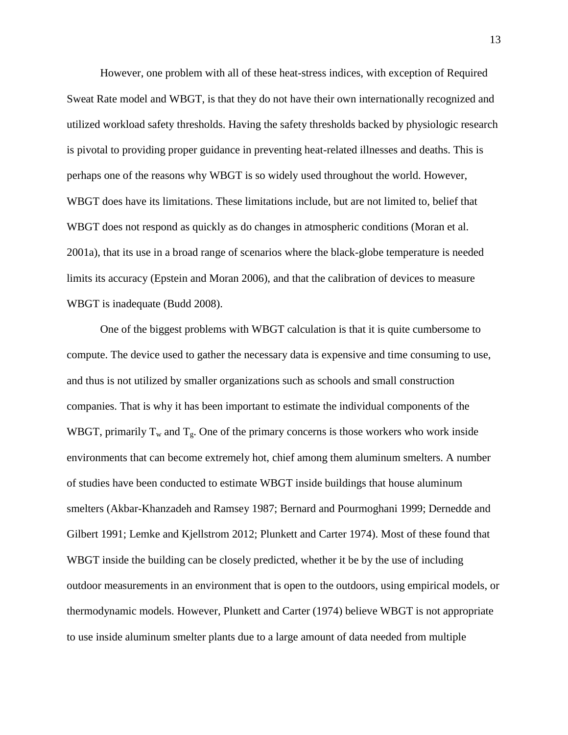However, one problem with all of these heat-stress indices, with exception of Required Sweat Rate model and WBGT, is that they do not have their own internationally recognized and utilized workload safety thresholds. Having the safety thresholds backed by physiologic research is pivotal to providing proper guidance in preventing heat-related illnesses and deaths. This is perhaps one of the reasons why WBGT is so widely used throughout the world. However, WBGT does have its limitations. These limitations include, but are not limited to, belief that WBGT does not respond as quickly as do changes in atmospheric conditions (Moran et al. 2001a), that its use in a broad range of scenarios where the black-globe temperature is needed limits its accuracy (Epstein and Moran 2006), and that the calibration of devices to measure WBGT is inadequate (Budd 2008).

One of the biggest problems with WBGT calculation is that it is quite cumbersome to compute. The device used to gather the necessary data is expensive and time consuming to use, and thus is not utilized by smaller organizations such as schools and small construction companies. That is why it has been important to estimate the individual components of the WBGT, primarily  $T_w$  and  $T_g$ . One of the primary concerns is those workers who work inside environments that can become extremely hot, chief among them aluminum smelters. A number of studies have been conducted to estimate WBGT inside buildings that house aluminum smelters (Akbar-Khanzadeh and Ramsey 1987; Bernard and Pourmoghani 1999; Dernedde and Gilbert 1991; Lemke and Kjellstrom 2012; Plunkett and Carter 1974). Most of these found that WBGT inside the building can be closely predicted, whether it be by the use of including outdoor measurements in an environment that is open to the outdoors, using empirical models, or thermodynamic models. However, Plunkett and Carter (1974) believe WBGT is not appropriate to use inside aluminum smelter plants due to a large amount of data needed from multiple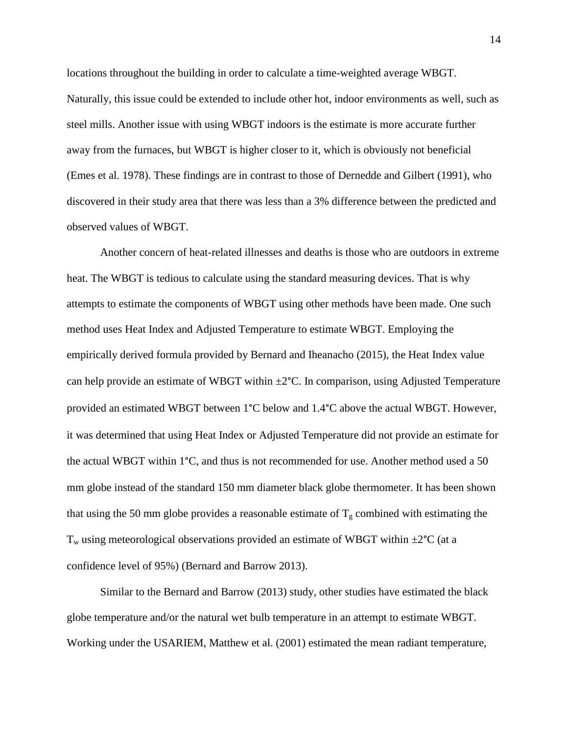locations throughout the building in order to calculate a time-weighted average WBGT. Naturally, this issue could be extended to include other hot, indoor environments as well, such as steel mills. Another issue with using WBGT indoors is the estimate is more accurate further away from the furnaces, but WBGT is higher closer to it, which is obviously not beneficial (Emes et al. 1978). These findings are in contrast to those of Dernedde and Gilbert (1991), who discovered in their study area that there was less than a 3% difference between the predicted and observed values of WBGT.

Another concern of heat-related illnesses and deaths is those who are outdoors in extreme heat. The WBGT is tedious to calculate using the standard measuring devices. That is why attempts to estimate the components of WBGT using other methods have been made. One such method uses Heat Index and Adjusted Temperature to estimate WBGT. Employing the empirically derived formula provided by Bernard and Iheanacho (2015), the Heat Index value can help provide an estimate of WBGT within  $\pm 2^{\circ}$ C. In comparison, using Adjusted Temperature provided an estimated WBGT between 1°C below and 1.4°C above the actual WBGT. However, it was determined that using Heat Index or Adjusted Temperature did not provide an estimate for the actual WBGT within 1°C, and thus is not recommended for use. Another method used a 50 mm globe instead of the standard 150 mm diameter black globe thermometer. It has been shown that using the 50 mm globe provides a reasonable estimate of  $T_g$  combined with estimating the  $T_w$  using meteorological observations provided an estimate of WBGT within  $\pm 2^{\circ}C$  (at a confidence level of 95%) (Bernard and Barrow 2013).

Similar to the Bernard and Barrow (2013) study, other studies have estimated the black globe temperature and/or the natural wet bulb temperature in an attempt to estimate WBGT. Working under the USARIEM, Matthew et al. (2001) estimated the mean radiant temperature,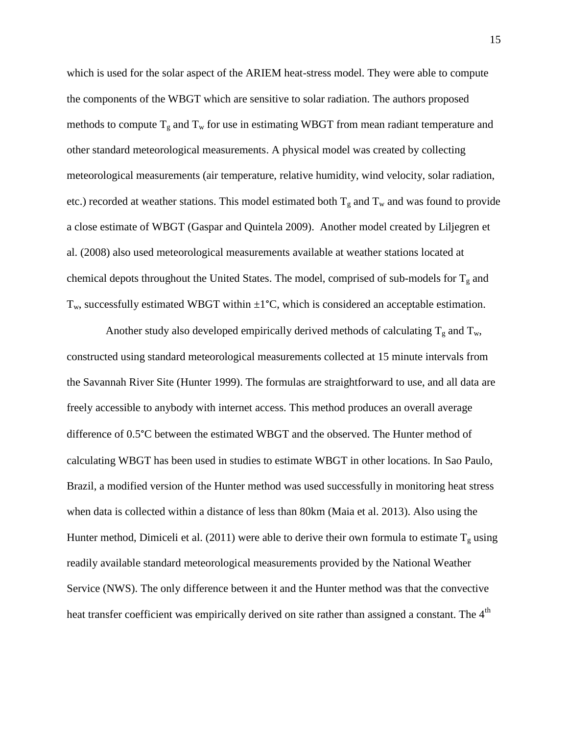which is used for the solar aspect of the ARIEM heat-stress model. They were able to compute the components of the WBGT which are sensitive to solar radiation. The authors proposed methods to compute  $T_g$  and  $T_w$  for use in estimating WBGT from mean radiant temperature and other standard meteorological measurements. A physical model was created by collecting meteorological measurements (air temperature, relative humidity, wind velocity, solar radiation, etc.) recorded at weather stations. This model estimated both  $T_g$  and  $T_w$  and was found to provide a close estimate of WBGT (Gaspar and Quintela 2009). Another model created by Liljegren et al. (2008) also used meteorological measurements available at weather stations located at chemical depots throughout the United States. The model, comprised of sub-models for  $T_g$  and  $T_w$ , successfully estimated WBGT within  $\pm 1^{\circ}C$ , which is considered an acceptable estimation.

Another study also developed empirically derived methods of calculating  $T_g$  and  $T_w$ , constructed using standard meteorological measurements collected at 15 minute intervals from the Savannah River Site (Hunter 1999). The formulas are straightforward to use, and all data are freely accessible to anybody with internet access. This method produces an overall average difference of 0.5°C between the estimated WBGT and the observed. The Hunter method of calculating WBGT has been used in studies to estimate WBGT in other locations. In Sao Paulo, Brazil, a modified version of the Hunter method was used successfully in monitoring heat stress when data is collected within a distance of less than 80km (Maia et al. 2013). Also using the Hunter method, Dimiceli et al. (2011) were able to derive their own formula to estimate  $T_g$  using readily available standard meteorological measurements provided by the National Weather Service (NWS). The only difference between it and the Hunter method was that the convective heat transfer coefficient was empirically derived on site rather than assigned a constant. The 4<sup>th</sup>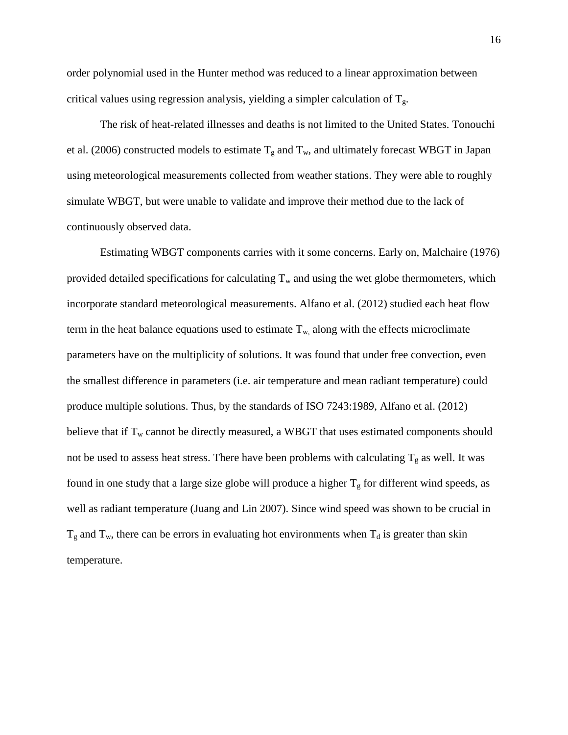order polynomial used in the Hunter method was reduced to a linear approximation between critical values using regression analysis, yielding a simpler calculation of  $T_g$ .

The risk of heat-related illnesses and deaths is not limited to the United States. Tonouchi et al. (2006) constructed models to estimate  $T_g$  and  $T_w$ , and ultimately forecast WBGT in Japan using meteorological measurements collected from weather stations. They were able to roughly simulate WBGT, but were unable to validate and improve their method due to the lack of continuously observed data.

Estimating WBGT components carries with it some concerns. Early on, Malchaire (1976) provided detailed specifications for calculating  $T_w$  and using the wet globe thermometers, which incorporate standard meteorological measurements. Alfano et al. (2012) studied each heat flow term in the heat balance equations used to estimate  $T_{w}$ , along with the effects microclimate parameters have on the multiplicity of solutions. It was found that under free convection, even the smallest difference in parameters (i.e. air temperature and mean radiant temperature) could produce multiple solutions. Thus, by the standards of ISO 7243:1989, Alfano et al. (2012) believe that if  $T_w$  cannot be directly measured, a WBGT that uses estimated components should not be used to assess heat stress. There have been problems with calculating  $T_g$  as well. It was found in one study that a large size globe will produce a higher  $T_g$  for different wind speeds, as well as radiant temperature (Juang and Lin 2007). Since wind speed was shown to be crucial in  $T_g$  and  $T_w$ , there can be errors in evaluating hot environments when  $T_d$  is greater than skin temperature.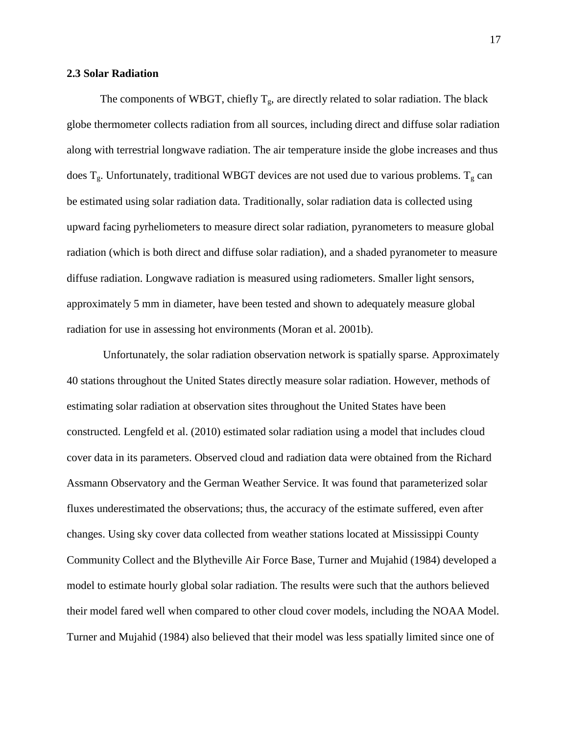#### **2.3 Solar Radiation**

The components of WBGT, chiefly  $T_g$ , are directly related to solar radiation. The black globe thermometer collects radiation from all sources, including direct and diffuse solar radiation along with terrestrial longwave radiation. The air temperature inside the globe increases and thus does  $T_g$ . Unfortunately, traditional WBGT devices are not used due to various problems.  $T_g$  can be estimated using solar radiation data. Traditionally, solar radiation data is collected using upward facing pyrheliometers to measure direct solar radiation, pyranometers to measure global radiation (which is both direct and diffuse solar radiation), and a shaded pyranometer to measure diffuse radiation. Longwave radiation is measured using radiometers. Smaller light sensors, approximately 5 mm in diameter, have been tested and shown to adequately measure global radiation for use in assessing hot environments (Moran et al. 2001b).

Unfortunately, the solar radiation observation network is spatially sparse. Approximately 40 stations throughout the United States directly measure solar radiation. However, methods of estimating solar radiation at observation sites throughout the United States have been constructed. Lengfeld et al. (2010) estimated solar radiation using a model that includes cloud cover data in its parameters. Observed cloud and radiation data were obtained from the Richard Assmann Observatory and the German Weather Service. It was found that parameterized solar fluxes underestimated the observations; thus, the accuracy of the estimate suffered, even after changes. Using sky cover data collected from weather stations located at Mississippi County Community Collect and the Blytheville Air Force Base, Turner and Mujahid (1984) developed a model to estimate hourly global solar radiation. The results were such that the authors believed their model fared well when compared to other cloud cover models, including the NOAA Model. Turner and Mujahid (1984) also believed that their model was less spatially limited since one of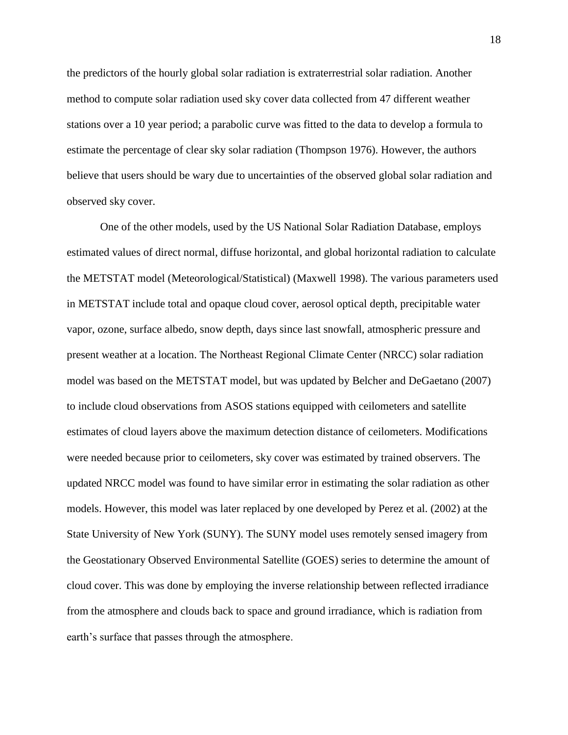the predictors of the hourly global solar radiation is extraterrestrial solar radiation. Another method to compute solar radiation used sky cover data collected from 47 different weather stations over a 10 year period; a parabolic curve was fitted to the data to develop a formula to estimate the percentage of clear sky solar radiation (Thompson 1976). However, the authors believe that users should be wary due to uncertainties of the observed global solar radiation and observed sky cover.

One of the other models, used by the US National Solar Radiation Database, employs estimated values of direct normal, diffuse horizontal, and global horizontal radiation to calculate the METSTAT model (Meteorological/Statistical) (Maxwell 1998). The various parameters used in METSTAT include total and opaque cloud cover, aerosol optical depth, precipitable water vapor, ozone, surface albedo, snow depth, days since last snowfall, atmospheric pressure and present weather at a location. The Northeast Regional Climate Center (NRCC) solar radiation model was based on the METSTAT model, but was updated by Belcher and DeGaetano (2007) to include cloud observations from ASOS stations equipped with ceilometers and satellite estimates of cloud layers above the maximum detection distance of ceilometers. Modifications were needed because prior to ceilometers, sky cover was estimated by trained observers. The updated NRCC model was found to have similar error in estimating the solar radiation as other models. However, this model was later replaced by one developed by Perez et al. (2002) at the State University of New York (SUNY). The SUNY model uses remotely sensed imagery from the Geostationary Observed Environmental Satellite (GOES) series to determine the amount of cloud cover. This was done by employing the inverse relationship between reflected irradiance from the atmosphere and clouds back to space and ground irradiance, which is radiation from earth's surface that passes through the atmosphere.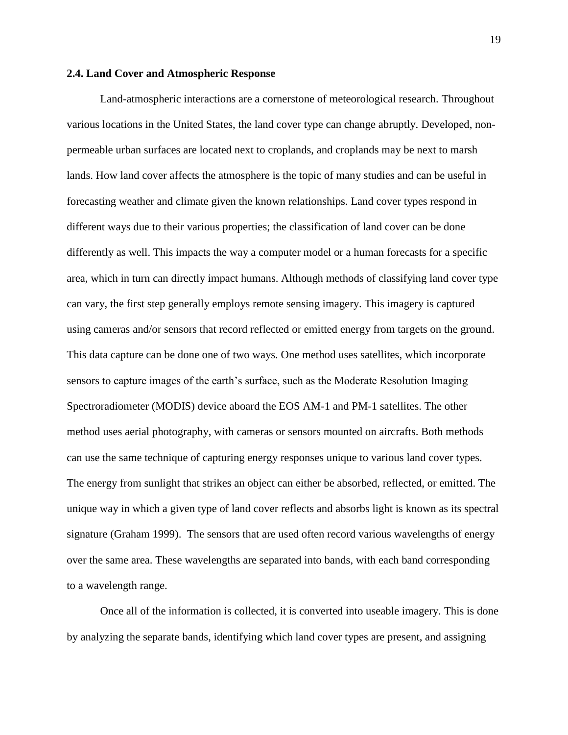#### **2.4. Land Cover and Atmospheric Response**

Land-atmospheric interactions are a cornerstone of meteorological research. Throughout various locations in the United States, the land cover type can change abruptly. Developed, nonpermeable urban surfaces are located next to croplands, and croplands may be next to marsh lands. How land cover affects the atmosphere is the topic of many studies and can be useful in forecasting weather and climate given the known relationships. Land cover types respond in different ways due to their various properties; the classification of land cover can be done differently as well. This impacts the way a computer model or a human forecasts for a specific area, which in turn can directly impact humans. Although methods of classifying land cover type can vary, the first step generally employs remote sensing imagery. This imagery is captured using cameras and/or sensors that record reflected or emitted energy from targets on the ground. This data capture can be done one of two ways. One method uses satellites, which incorporate sensors to capture images of the earth's surface, such as the Moderate Resolution Imaging Spectroradiometer (MODIS) device aboard the EOS AM-1 and PM-1 satellites. The other method uses aerial photography, with cameras or sensors mounted on aircrafts. Both methods can use the same technique of capturing energy responses unique to various land cover types. The energy from sunlight that strikes an object can either be absorbed, reflected, or emitted. The unique way in which a given type of land cover reflects and absorbs light is known as its spectral signature (Graham 1999). The sensors that are used often record various wavelengths of energy over the same area. These wavelengths are separated into bands, with each band corresponding to a wavelength range.

Once all of the information is collected, it is converted into useable imagery. This is done by analyzing the separate bands, identifying which land cover types are present, and assigning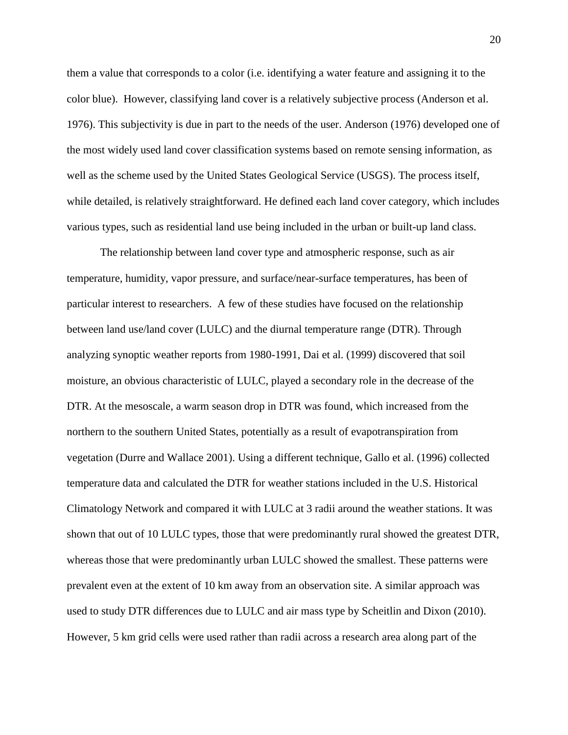them a value that corresponds to a color (i.e. identifying a water feature and assigning it to the color blue). However, classifying land cover is a relatively subjective process (Anderson et al. 1976). This subjectivity is due in part to the needs of the user. Anderson (1976) developed one of the most widely used land cover classification systems based on remote sensing information, as well as the scheme used by the United States Geological Service (USGS). The process itself, while detailed, is relatively straightforward. He defined each land cover category, which includes various types, such as residential land use being included in the urban or built-up land class.

The relationship between land cover type and atmospheric response, such as air temperature, humidity, vapor pressure, and surface/near-surface temperatures, has been of particular interest to researchers. A few of these studies have focused on the relationship between land use/land cover (LULC) and the diurnal temperature range (DTR). Through analyzing synoptic weather reports from 1980-1991, Dai et al. (1999) discovered that soil moisture, an obvious characteristic of LULC, played a secondary role in the decrease of the DTR. At the mesoscale, a warm season drop in DTR was found, which increased from the northern to the southern United States, potentially as a result of evapotranspiration from vegetation (Durre and Wallace 2001). Using a different technique, Gallo et al. (1996) collected temperature data and calculated the DTR for weather stations included in the U.S. Historical Climatology Network and compared it with LULC at 3 radii around the weather stations. It was shown that out of 10 LULC types, those that were predominantly rural showed the greatest DTR, whereas those that were predominantly urban LULC showed the smallest. These patterns were prevalent even at the extent of 10 km away from an observation site. A similar approach was used to study DTR differences due to LULC and air mass type by Scheitlin and Dixon (2010). However, 5 km grid cells were used rather than radii across a research area along part of the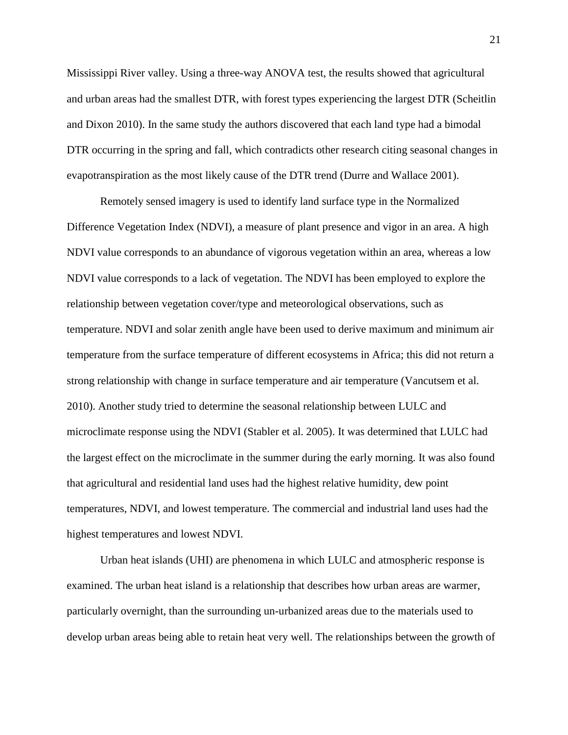Mississippi River valley. Using a three-way ANOVA test, the results showed that agricultural and urban areas had the smallest DTR, with forest types experiencing the largest DTR (Scheitlin and Dixon 2010). In the same study the authors discovered that each land type had a bimodal DTR occurring in the spring and fall, which contradicts other research citing seasonal changes in evapotranspiration as the most likely cause of the DTR trend (Durre and Wallace 2001).

Remotely sensed imagery is used to identify land surface type in the Normalized Difference Vegetation Index (NDVI), a measure of plant presence and vigor in an area. A high NDVI value corresponds to an abundance of vigorous vegetation within an area, whereas a low NDVI value corresponds to a lack of vegetation. The NDVI has been employed to explore the relationship between vegetation cover/type and meteorological observations, such as temperature. NDVI and solar zenith angle have been used to derive maximum and minimum air temperature from the surface temperature of different ecosystems in Africa; this did not return a strong relationship with change in surface temperature and air temperature (Vancutsem et al. 2010). Another study tried to determine the seasonal relationship between LULC and microclimate response using the NDVI (Stabler et al. 2005). It was determined that LULC had the largest effect on the microclimate in the summer during the early morning. It was also found that agricultural and residential land uses had the highest relative humidity, dew point temperatures, NDVI, and lowest temperature. The commercial and industrial land uses had the highest temperatures and lowest NDVI.

Urban heat islands (UHI) are phenomena in which LULC and atmospheric response is examined. The urban heat island is a relationship that describes how urban areas are warmer, particularly overnight, than the surrounding un-urbanized areas due to the materials used to develop urban areas being able to retain heat very well. The relationships between the growth of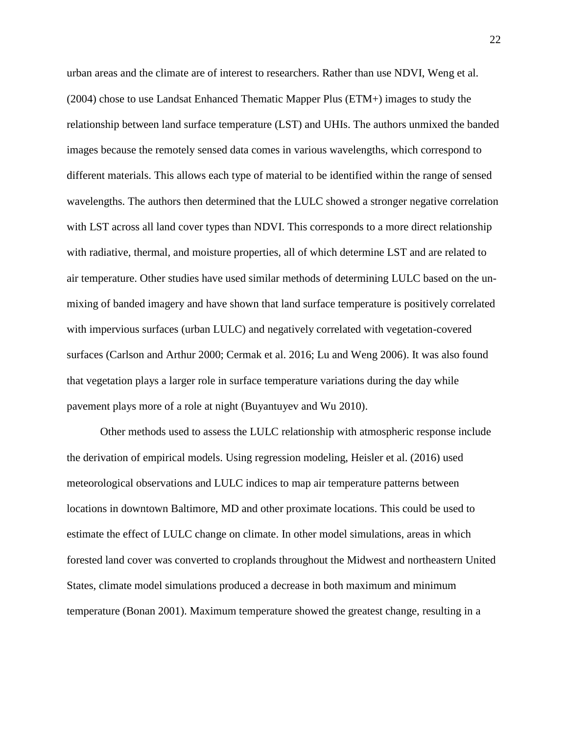urban areas and the climate are of interest to researchers. Rather than use NDVI, Weng et al. (2004) chose to use Landsat Enhanced Thematic Mapper Plus (ETM+) images to study the relationship between land surface temperature (LST) and UHIs. The authors unmixed the banded images because the remotely sensed data comes in various wavelengths, which correspond to different materials. This allows each type of material to be identified within the range of sensed wavelengths. The authors then determined that the LULC showed a stronger negative correlation with LST across all land cover types than NDVI. This corresponds to a more direct relationship with radiative, thermal, and moisture properties, all of which determine LST and are related to air temperature. Other studies have used similar methods of determining LULC based on the unmixing of banded imagery and have shown that land surface temperature is positively correlated with impervious surfaces (urban LULC) and negatively correlated with vegetation-covered surfaces (Carlson and Arthur 2000; Cermak et al. 2016; Lu and Weng 2006). It was also found that vegetation plays a larger role in surface temperature variations during the day while pavement plays more of a role at night (Buyantuyev and Wu 2010).

Other methods used to assess the LULC relationship with atmospheric response include the derivation of empirical models. Using regression modeling, Heisler et al. (2016) used meteorological observations and LULC indices to map air temperature patterns between locations in downtown Baltimore, MD and other proximate locations. This could be used to estimate the effect of LULC change on climate. In other model simulations, areas in which forested land cover was converted to croplands throughout the Midwest and northeastern United States, climate model simulations produced a decrease in both maximum and minimum temperature (Bonan 2001). Maximum temperature showed the greatest change, resulting in a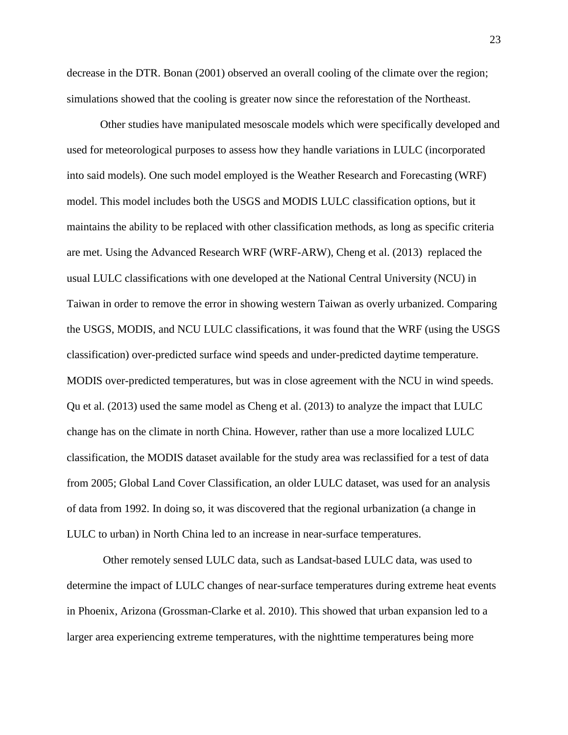decrease in the DTR. Bonan (2001) observed an overall cooling of the climate over the region; simulations showed that the cooling is greater now since the reforestation of the Northeast.

Other studies have manipulated mesoscale models which were specifically developed and used for meteorological purposes to assess how they handle variations in LULC (incorporated into said models). One such model employed is the Weather Research and Forecasting (WRF) model. This model includes both the USGS and MODIS LULC classification options, but it maintains the ability to be replaced with other classification methods, as long as specific criteria are met. Using the Advanced Research WRF (WRF-ARW), Cheng et al. (2013) replaced the usual LULC classifications with one developed at the National Central University (NCU) in Taiwan in order to remove the error in showing western Taiwan as overly urbanized. Comparing the USGS, MODIS, and NCU LULC classifications, it was found that the WRF (using the USGS classification) over-predicted surface wind speeds and under-predicted daytime temperature. MODIS over-predicted temperatures, but was in close agreement with the NCU in wind speeds. Qu et al. (2013) used the same model as Cheng et al. (2013) to analyze the impact that LULC change has on the climate in north China. However, rather than use a more localized LULC classification, the MODIS dataset available for the study area was reclassified for a test of data from 2005; Global Land Cover Classification, an older LULC dataset, was used for an analysis of data from 1992. In doing so, it was discovered that the regional urbanization (a change in LULC to urban) in North China led to an increase in near-surface temperatures.

Other remotely sensed LULC data, such as Landsat-based LULC data, was used to determine the impact of LULC changes of near-surface temperatures during extreme heat events in Phoenix, Arizona (Grossman-Clarke et al. 2010). This showed that urban expansion led to a larger area experiencing extreme temperatures, with the nighttime temperatures being more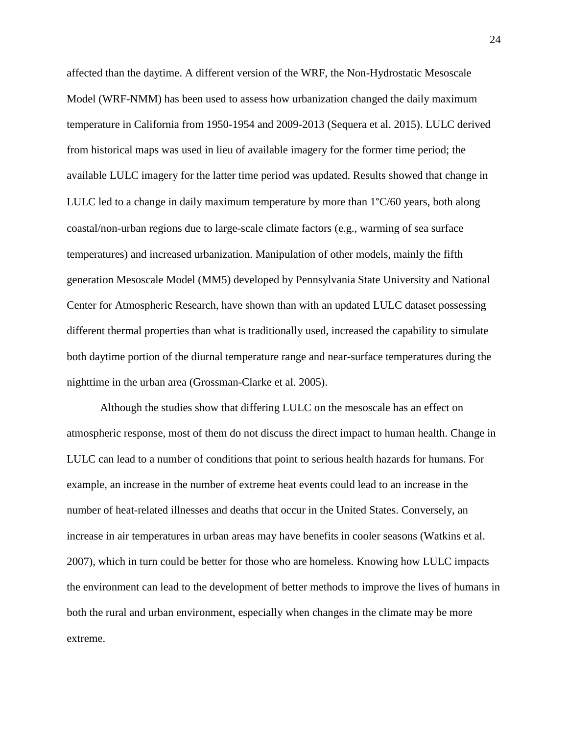affected than the daytime. A different version of the WRF, the Non-Hydrostatic Mesoscale Model (WRF-NMM) has been used to assess how urbanization changed the daily maximum temperature in California from 1950-1954 and 2009-2013 (Sequera et al. 2015). LULC derived from historical maps was used in lieu of available imagery for the former time period; the available LULC imagery for the latter time period was updated. Results showed that change in LULC led to a change in daily maximum temperature by more than 1°C/60 years, both along coastal/non-urban regions due to large-scale climate factors (e.g., warming of sea surface temperatures) and increased urbanization. Manipulation of other models, mainly the fifth generation Mesoscale Model (MM5) developed by Pennsylvania State University and National Center for Atmospheric Research, have shown than with an updated LULC dataset possessing different thermal properties than what is traditionally used, increased the capability to simulate both daytime portion of the diurnal temperature range and near-surface temperatures during the nighttime in the urban area (Grossman-Clarke et al. 2005).

Although the studies show that differing LULC on the mesoscale has an effect on atmospheric response, most of them do not discuss the direct impact to human health. Change in LULC can lead to a number of conditions that point to serious health hazards for humans. For example, an increase in the number of extreme heat events could lead to an increase in the number of heat-related illnesses and deaths that occur in the United States. Conversely, an increase in air temperatures in urban areas may have benefits in cooler seasons (Watkins et al. 2007), which in turn could be better for those who are homeless. Knowing how LULC impacts the environment can lead to the development of better methods to improve the lives of humans in both the rural and urban environment, especially when changes in the climate may be more extreme.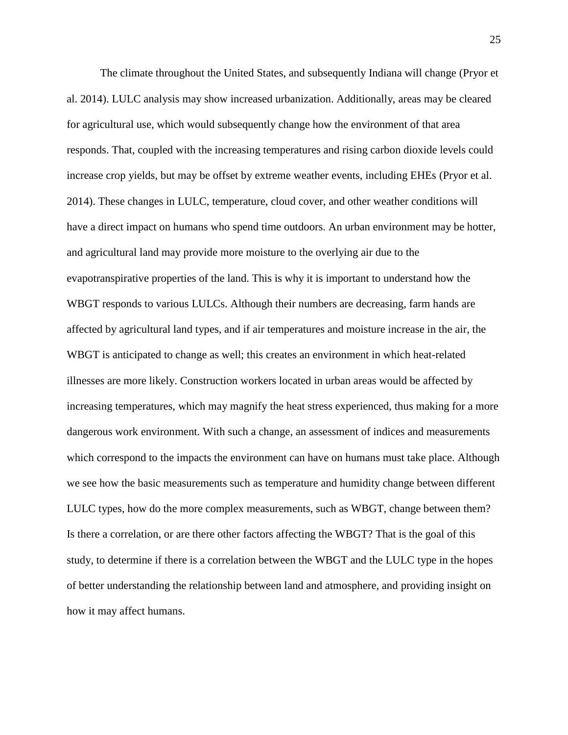The climate throughout the United States, and subsequently Indiana will change (Pryor et al. 2014). LULC analysis may show increased urbanization. Additionally, areas may be cleared for agricultural use, which would subsequently change how the environment of that area responds. That, coupled with the increasing temperatures and rising carbon dioxide levels could increase crop yields, but may be offset by extreme weather events, including EHEs (Pryor et al. 2014). These changes in LULC, temperature, cloud cover, and other weather conditions will have a direct impact on humans who spend time outdoors. An urban environment may be hotter, and agricultural land may provide more moisture to the overlying air due to the evapotranspirative properties of the land. This is why it is important to understand how the WBGT responds to various LULCs. Although their numbers are decreasing, farm hands are affected by agricultural land types, and if air temperatures and moisture increase in the air, the WBGT is anticipated to change as well; this creates an environment in which heat-related illnesses are more likely. Construction workers located in urban areas would be affected by increasing temperatures, which may magnify the heat stress experienced, thus making for a more dangerous work environment. With such a change, an assessment of indices and measurements which correspond to the impacts the environment can have on humans must take place. Although we see how the basic measurements such as temperature and humidity change between different LULC types, how do the more complex measurements, such as WBGT, change between them? Is there a correlation, or are there other factors affecting the WBGT? That is the goal of this study, to determine if there is a correlation between the WBGT and the LULC type in the hopes of better understanding the relationship between land and atmosphere, and providing insight on how it may affect humans.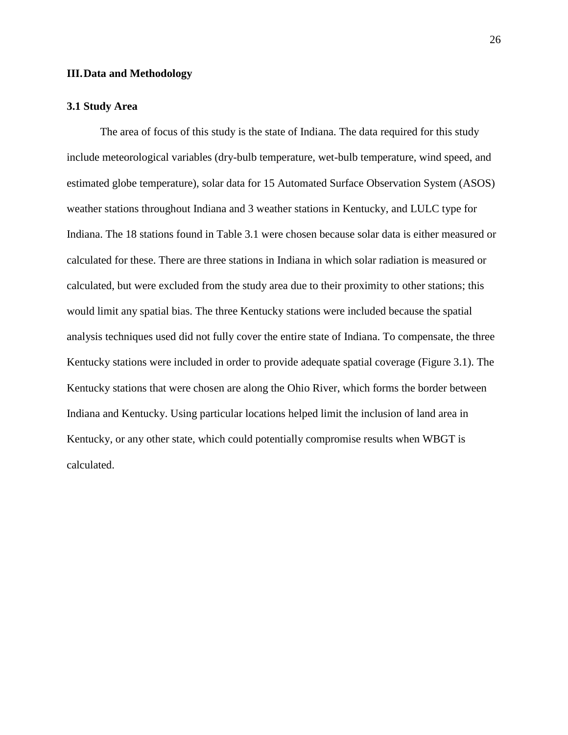#### **III.Data and Methodology**

#### **3.1 Study Area**

The area of focus of this study is the state of Indiana. The data required for this study include meteorological variables (dry-bulb temperature, wet-bulb temperature, wind speed, and estimated globe temperature), solar data for 15 Automated Surface Observation System (ASOS) weather stations throughout Indiana and 3 weather stations in Kentucky, and LULC type for Indiana. The 18 stations found in Table 3.1 were chosen because solar data is either measured or calculated for these. There are three stations in Indiana in which solar radiation is measured or calculated, but were excluded from the study area due to their proximity to other stations; this would limit any spatial bias. The three Kentucky stations were included because the spatial analysis techniques used did not fully cover the entire state of Indiana. To compensate, the three Kentucky stations were included in order to provide adequate spatial coverage (Figure 3.1). The Kentucky stations that were chosen are along the Ohio River, which forms the border between Indiana and Kentucky. Using particular locations helped limit the inclusion of land area in Kentucky, or any other state, which could potentially compromise results when WBGT is calculated.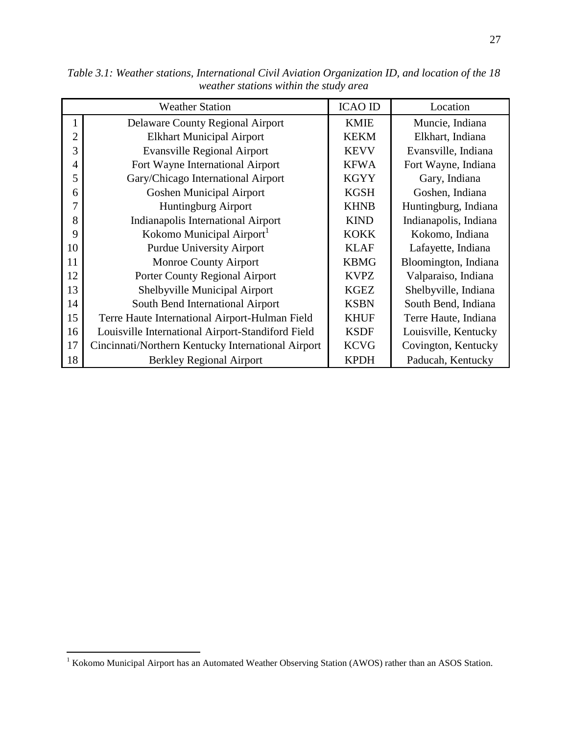|    | <b>Weather Station</b>                             | <b>ICAO ID</b> | Location              |
|----|----------------------------------------------------|----------------|-----------------------|
|    | Delaware County Regional Airport                   | <b>KMIE</b>    | Muncie, Indiana       |
| 2  | <b>Elkhart Municipal Airport</b>                   | <b>KEKM</b>    | Elkhart, Indiana      |
| 3  | <b>Evansville Regional Airport</b>                 | <b>KEVV</b>    | Evansville, Indiana   |
| 4  | Fort Wayne International Airport                   | <b>KFWA</b>    | Fort Wayne, Indiana   |
| 5  | Gary/Chicago International Airport                 | <b>KGYY</b>    | Gary, Indiana         |
| 6  | <b>Goshen Municipal Airport</b>                    | <b>KGSH</b>    | Goshen, Indiana       |
| 7  | Huntingburg Airport                                | <b>KHNB</b>    | Huntingburg, Indiana  |
| 8  | Indianapolis International Airport                 | <b>KIND</b>    | Indianapolis, Indiana |
| 9  | Kokomo Municipal Airport                           | <b>KOKK</b>    | Kokomo, Indiana       |
| 10 | <b>Purdue University Airport</b>                   | <b>KLAF</b>    | Lafayette, Indiana    |
| 11 | <b>Monroe County Airport</b>                       | <b>KBMG</b>    | Bloomington, Indiana  |
| 12 | <b>Porter County Regional Airport</b>              | <b>KVPZ</b>    | Valparaiso, Indiana   |
| 13 | Shelbyville Municipal Airport                      | <b>KGEZ</b>    | Shelbyville, Indiana  |
| 14 | South Bend International Airport                   | <b>KSBN</b>    | South Bend, Indiana   |
| 15 | Terre Haute International Airport-Hulman Field     | <b>KHUF</b>    | Terre Haute, Indiana  |
| 16 | Louisville International Airport-Standiford Field  | <b>KSDF</b>    | Louisville, Kentucky  |
| 17 | Cincinnati/Northern Kentucky International Airport | <b>KCVG</b>    | Covington, Kentucky   |
| 18 | <b>Berkley Regional Airport</b>                    | <b>KPDH</b>    | Paducah, Kentucky     |

*Table 3.1: Weather stations, International Civil Aviation Organization ID, and location of the 18 weather stations within the study area*

 $\overline{a}$ 

Kokomo Municipal Airport has an Automated Weather Observing Station (AWOS) rather than an ASOS Station.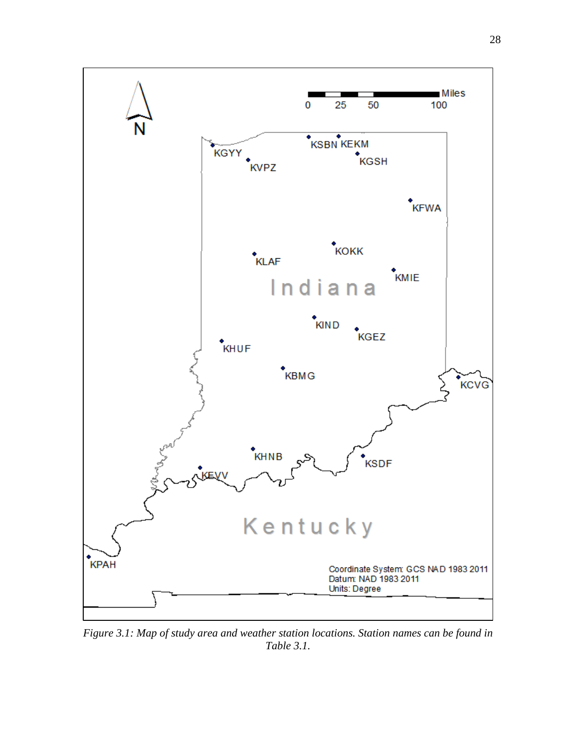

*Figure 3.1: Map of study area and weather station locations. Station names can be found in Table 3.1.*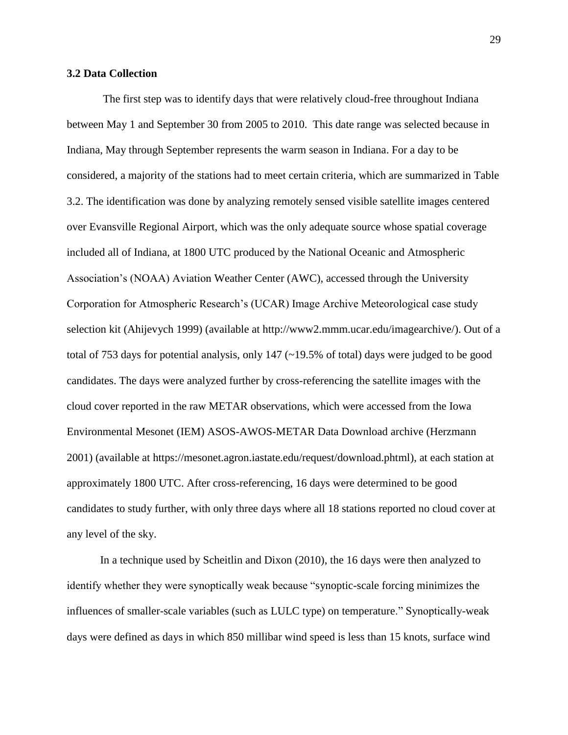#### **3.2 Data Collection**

The first step was to identify days that were relatively cloud-free throughout Indiana between May 1 and September 30 from 2005 to 2010. This date range was selected because in Indiana, May through September represents the warm season in Indiana. For a day to be considered, a majority of the stations had to meet certain criteria, which are summarized in Table 3.2. The identification was done by analyzing remotely sensed visible satellite images centered over Evansville Regional Airport, which was the only adequate source whose spatial coverage included all of Indiana, at 1800 UTC produced by the National Oceanic and Atmospheric Association's (NOAA) Aviation Weather Center (AWC), accessed through the University Corporation for Atmospheric Research's (UCAR) Image Archive Meteorological case study selection kit (Ahijevych 1999) (available at http://www2.mmm.ucar.edu/imagearchive/). Out of a total of 753 days for potential analysis, only 147 (~19.5% of total) days were judged to be good candidates. The days were analyzed further by cross-referencing the satellite images with the cloud cover reported in the raw METAR observations, which were accessed from the Iowa Environmental Mesonet (IEM) ASOS-AWOS-METAR Data Download archive (Herzmann 2001) (available at https://mesonet.agron.iastate.edu/request/download.phtml), at each station at approximately 1800 UTC. After cross-referencing, 16 days were determined to be good candidates to study further, with only three days where all 18 stations reported no cloud cover at any level of the sky.

In a technique used by Scheitlin and Dixon (2010), the 16 days were then analyzed to identify whether they were synoptically weak because "synoptic-scale forcing minimizes the influences of smaller-scale variables (such as LULC type) on temperature." Synoptically-weak days were defined as days in which 850 millibar wind speed is less than 15 knots, surface wind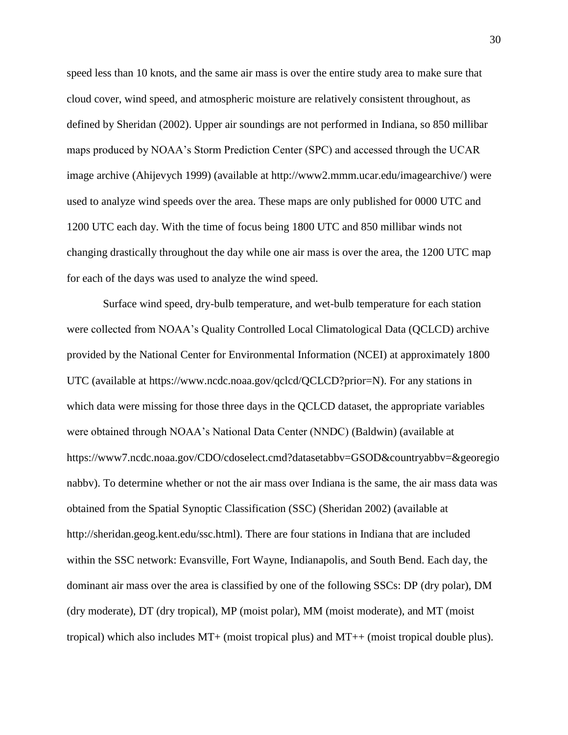speed less than 10 knots, and the same air mass is over the entire study area to make sure that cloud cover, wind speed, and atmospheric moisture are relatively consistent throughout, as defined by Sheridan (2002). Upper air soundings are not performed in Indiana, so 850 millibar maps produced by NOAA's Storm Prediction Center (SPC) and accessed through the UCAR image archive (Ahijevych 1999) (available at http://www2.mmm.ucar.edu/imagearchive/) were used to analyze wind speeds over the area. These maps are only published for 0000 UTC and 1200 UTC each day. With the time of focus being 1800 UTC and 850 millibar winds not changing drastically throughout the day while one air mass is over the area, the 1200 UTC map for each of the days was used to analyze the wind speed.

Surface wind speed, dry-bulb temperature, and wet-bulb temperature for each station were collected from NOAA's Quality Controlled Local Climatological Data (QCLCD) archive provided by the National Center for Environmental Information (NCEI) at approximately 1800 UTC (available at https://www.ncdc.noaa.gov/qclcd/QCLCD?prior=N). For any stations in which data were missing for those three days in the QCLCD dataset, the appropriate variables were obtained through NOAA's National Data Center (NNDC) (Baldwin) (available at https://www7.ncdc.noaa.gov/CDO/cdoselect.cmd?datasetabbv=GSOD&countryabbv=&georegio nabbv). To determine whether or not the air mass over Indiana is the same, the air mass data was obtained from the Spatial Synoptic Classification (SSC) (Sheridan 2002) (available at http://sheridan.geog.kent.edu/ssc.html). There are four stations in Indiana that are included within the SSC network: Evansville, Fort Wayne, Indianapolis, and South Bend. Each day, the dominant air mass over the area is classified by one of the following SSCs: DP (dry polar), DM (dry moderate), DT (dry tropical), MP (moist polar), MM (moist moderate), and MT (moist tropical) which also includes MT+ (moist tropical plus) and MT++ (moist tropical double plus).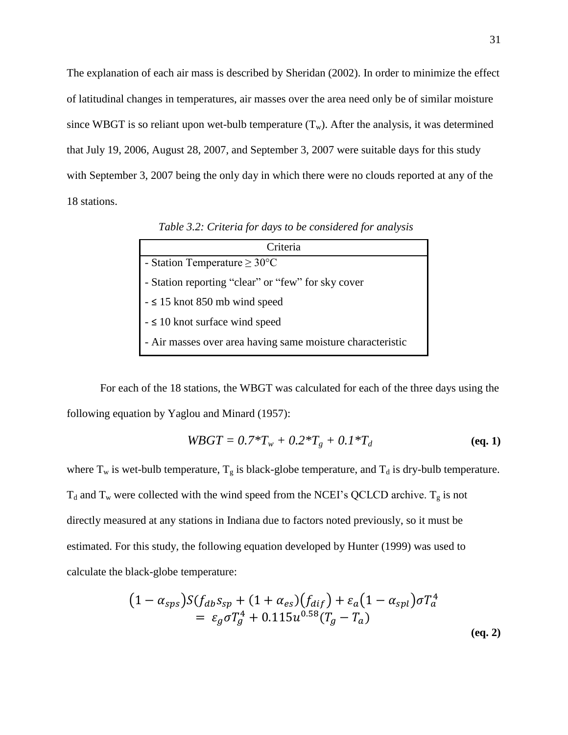The explanation of each air mass is described by Sheridan (2002). In order to minimize the effect of latitudinal changes in temperatures, air masses over the area need only be of similar moisture since WBGT is so reliant upon wet-bulb temperature  $(T_w)$ . After the analysis, it was determined that July 19, 2006, August 28, 2007, and September 3, 2007 were suitable days for this study with September 3, 2007 being the only day in which there were no clouds reported at any of the 18 stations.

| Criteria                                                   |
|------------------------------------------------------------|
| - Station Temperature $\geq 30^{\circ}$ C                  |
| - Station reporting "clear" or "few" for sky cover         |
| $ \leq$ 15 knot 850 mb wind speed                          |
| $ \leq$ 10 knot surface wind speed                         |
| - Air masses over area having same moisture characteristic |

*Table 3.2: Criteria for days to be considered for analysis*

For each of the 18 stations, the WBGT was calculated for each of the three days using the following equation by Yaglou and Minard (1957):

$$
WBGT = 0.7^*T_w + 0.2^*T_g + 0.1^*T_d \tag{eq. 1}
$$

where  $T_w$  is wet-bulb temperature,  $T_g$  is black-globe temperature, and  $T_d$  is dry-bulb temperature.  $T_d$  and  $T_w$  were collected with the wind speed from the NCEI's QCLCD archive.  $T_g$  is not directly measured at any stations in Indiana due to factors noted previously, so it must be estimated. For this study, the following equation developed by Hunter (1999) was used to calculate the black-globe temperature:

$$
(1 - \alpha_{sps}) S(f_{db} s_{sp} + (1 + \alpha_{es}) (f_{dif}) + \varepsilon_a (1 - \alpha_{spl}) \sigma T_a^4
$$
  
=  $\varepsilon_g \sigma T_g^4 + 0.115 u^{0.58} (T_g - T_a)$  (eq. 2)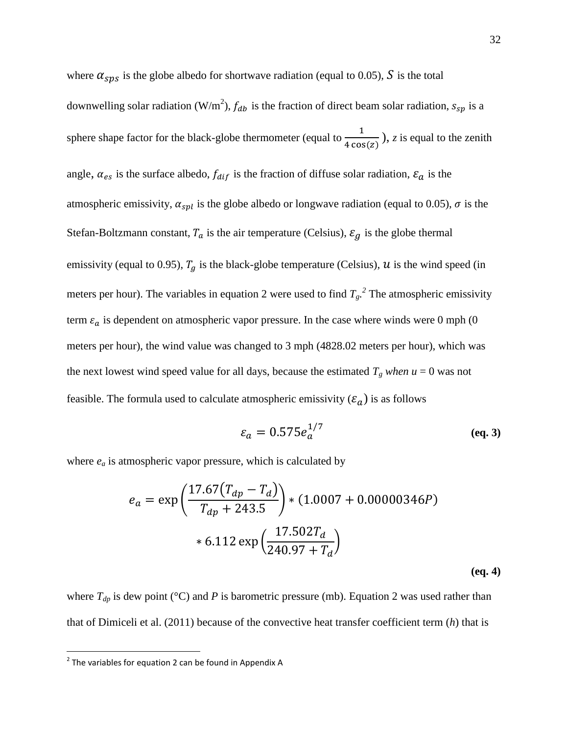where  $\alpha_{\text{SDS}}$  is the globe albedo for shortwave radiation (equal to 0.05), S is the total downwelling solar radiation (W/m<sup>2</sup>),  $f_{db}$  is the fraction of direct beam solar radiation,  $s_{sp}$  is a sphere shape factor for the black-globe thermometer (equal to  $\frac{1}{\sqrt{1-\frac{1}{n}}}\$  $\frac{1}{4 \cos(z)}$ , *z* is equal to the zenith angle,  $\alpha_{es}$  is the surface albedo,  $f_{dif}$  is the fraction of diffuse solar radiation,  $\varepsilon_a$  is the atmospheric emissivity,  $\alpha_{spl}$  is the globe albedo or longwave radiation (equal to 0.05),  $\sigma$  is the Stefan-Boltzmann constant,  $T_a$  is the air temperature (Celsius),  $\varepsilon_a$  is the globe thermal emissivity (equal to 0.95),  $T_g$  is the black-globe temperature (Celsius),  $u$  is the wind speed (in meters per hour). The variables in equation 2 were used to find  $T_g$ <sup>2</sup>. The atmospheric emissivity term  $\varepsilon_a$  is dependent on atmospheric vapor pressure. In the case where winds were 0 mph (0 meters per hour), the wind value was changed to 3 mph (4828.02 meters per hour), which was the next lowest wind speed value for all days, because the estimated  $T_g$  *when*  $u = 0$  was not feasible. The formula used to calculate atmospheric emissivity  $(\varepsilon_a)$  is as follows

$$
\varepsilon_a = 0.575 e_a^{1/7} \tag{eq.3}
$$

where *e<sup>a</sup>* is atmospheric vapor pressure, which is calculated by

$$
e_a = \exp\left(\frac{17.67(T_{dp} - T_d)}{T_{dp} + 243.5}\right) * (1.0007 + 0.00000346P)
$$
  
 \* 6.112 exp $\left(\frac{17.502T_d}{240.97 + T_d}\right)$  (eq. 4)

where  $T_{dp}$  is dew point (°C) and *P* is barometric pressure (mb). Equation 2 was used rather than that of Dimiceli et al. (2011) because of the convective heat transfer coefficient term (*h*) that is

 $\overline{a}$ 

 $2$  The variables for equation 2 can be found in Appendix A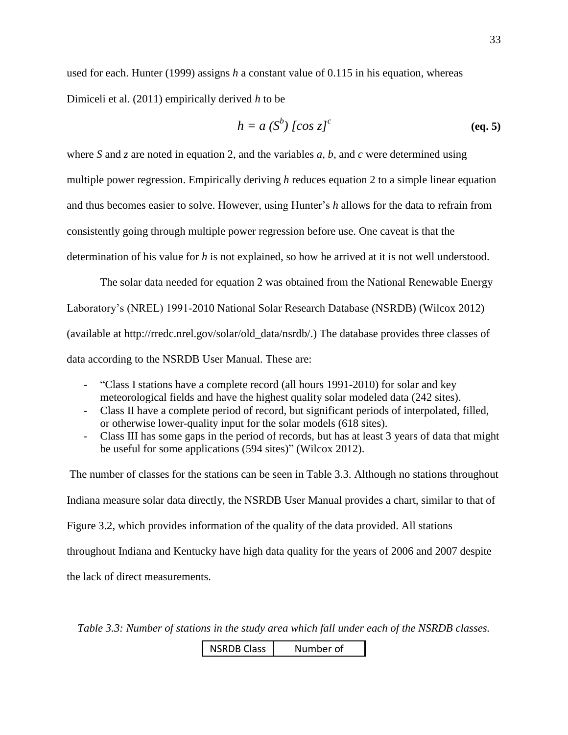used for each. Hunter (1999) assigns *h* a constant value of 0.115 in his equation, whereas Dimiceli et al. (2011) empirically derived *h* to be

$$
h = a\left(S^b\right)\left[\cos z\right]^c\tag{eq.5}
$$

where *S* and *z* are noted in equation 2, and the variables *a*, *b*, and *c* were determined using multiple power regression. Empirically deriving *h* reduces equation 2 to a simple linear equation and thus becomes easier to solve. However, using Hunter's *h* allows for the data to refrain from consistently going through multiple power regression before use. One caveat is that the determination of his value for *h* is not explained, so how he arrived at it is not well understood.

The solar data needed for equation 2 was obtained from the National Renewable Energy Laboratory's (NREL) 1991-2010 National Solar Research Database (NSRDB) (Wilcox 2012) (available at http://rredc.nrel.gov/solar/old\_data/nsrdb/.) The database provides three classes of data according to the NSRDB User Manual. These are:

- "Class I stations have a complete record (all hours 1991-2010) for solar and key meteorological fields and have the highest quality solar modeled data (242 sites).
- Class II have a complete period of record, but significant periods of interpolated, filled, or otherwise lower-quality input for the solar models (618 sites).
- Class III has some gaps in the period of records, but has at least 3 years of data that might be useful for some applications (594 sites)" (Wilcox 2012).

The number of classes for the stations can be seen in Table 3.3. Although no stations throughout Indiana measure solar data directly, the NSRDB User Manual provides a chart, similar to that of Figure 3.2, which provides information of the quality of the data provided. All stations throughout Indiana and Kentucky have high data quality for the years of 2006 and 2007 despite the lack of direct measurements.

*Table 3.3: Number of stations in the study area which fall under each of the NSRDB classes.*

NSRDB Class Number of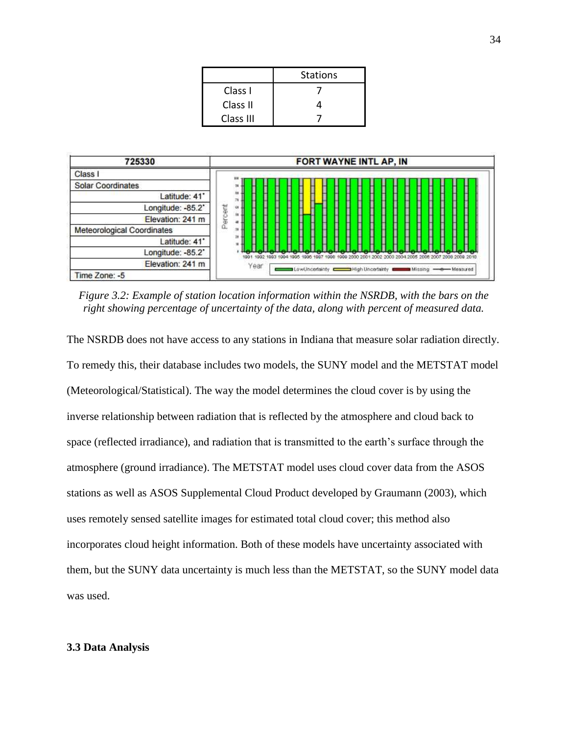|           | <b>Stations</b> |  |
|-----------|-----------------|--|
| Class I   |                 |  |
| Class II  |                 |  |
| Class III |                 |  |



*Figure 3.2: Example of station location information within the NSRDB, with the bars on the right showing percentage of uncertainty of the data, along with percent of measured data.*

The NSRDB does not have access to any stations in Indiana that measure solar radiation directly. To remedy this, their database includes two models, the SUNY model and the METSTAT model (Meteorological/Statistical). The way the model determines the cloud cover is by using the inverse relationship between radiation that is reflected by the atmosphere and cloud back to space (reflected irradiance), and radiation that is transmitted to the earth's surface through the atmosphere (ground irradiance). The METSTAT model uses cloud cover data from the ASOS stations as well as ASOS Supplemental Cloud Product developed by Graumann (2003), which uses remotely sensed satellite images for estimated total cloud cover; this method also incorporates cloud height information. Both of these models have uncertainty associated with them, but the SUNY data uncertainty is much less than the METSTAT, so the SUNY model data was used.

#### **3.3 Data Analysis**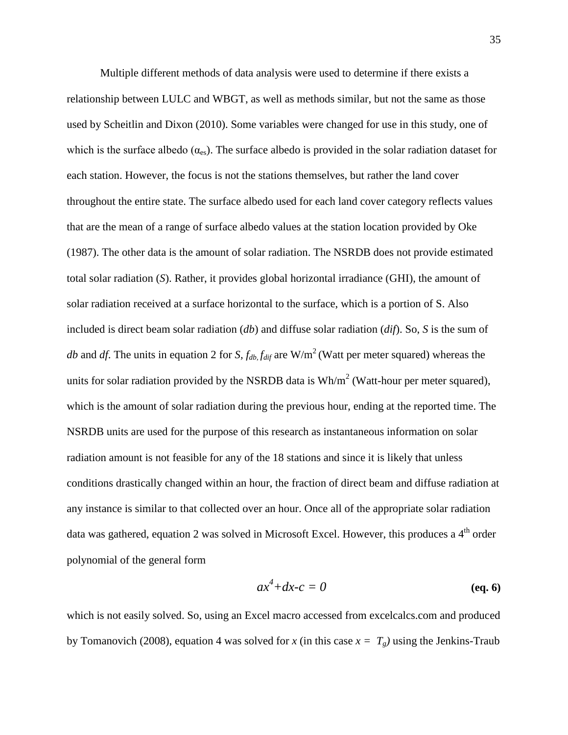Multiple different methods of data analysis were used to determine if there exists a relationship between LULC and WBGT, as well as methods similar, but not the same as those used by Scheitlin and Dixon (2010). Some variables were changed for use in this study, one of which is the surface albedo ( $\alpha_{es}$ ). The surface albedo is provided in the solar radiation dataset for each station. However, the focus is not the stations themselves, but rather the land cover throughout the entire state. The surface albedo used for each land cover category reflects values that are the mean of a range of surface albedo values at the station location provided by Oke (1987). The other data is the amount of solar radiation. The NSRDB does not provide estimated total solar radiation (*S*). Rather, it provides global horizontal irradiance (GHI), the amount of solar radiation received at a surface horizontal to the surface, which is a portion of S. Also included is direct beam solar radiation (*db*) and diffuse solar radiation (*dif*). So, *S* is the sum of *db* and *df*. The units in equation 2 for *S*,  $f_{db} f_{dif}$  are W/m<sup>2</sup> (Watt per meter squared) whereas the units for solar radiation provided by the NSRDB data is  $Wh/m^2$  (Watt-hour per meter squared), which is the amount of solar radiation during the previous hour, ending at the reported time. The NSRDB units are used for the purpose of this research as instantaneous information on solar radiation amount is not feasible for any of the 18 stations and since it is likely that unless conditions drastically changed within an hour, the fraction of direct beam and diffuse radiation at any instance is similar to that collected over an hour. Once all of the appropriate solar radiation data was gathered, equation 2 was solved in Microsoft Excel. However, this produces a 4<sup>th</sup> order polynomial of the general form

$$
ax^4 + dx - c = 0 \tag{eq. 6}
$$

which is not easily solved. So, using an Excel macro accessed from excelcalcs.com and produced by Tomanovich (2008), equation 4 was solved for *x* (in this case  $x = T_g$ ) using the Jenkins-Traub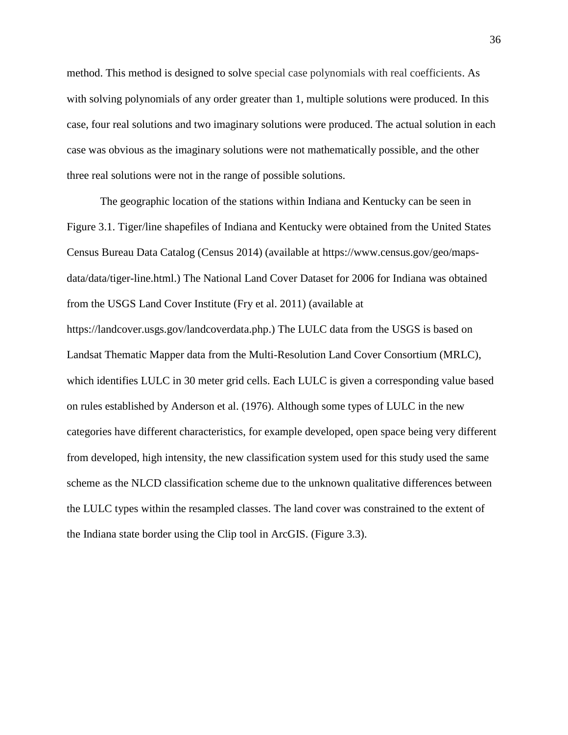method. This method is designed to solve special case polynomials with real coefficients. As with solving polynomials of any order greater than 1, multiple solutions were produced. In this case, four real solutions and two imaginary solutions were produced. The actual solution in each case was obvious as the imaginary solutions were not mathematically possible, and the other three real solutions were not in the range of possible solutions.

The geographic location of the stations within Indiana and Kentucky can be seen in Figure 3.1. Tiger/line shapefiles of Indiana and Kentucky were obtained from the United States Census Bureau Data Catalog (Census 2014) (available at https://www.census.gov/geo/mapsdata/data/tiger-line.html.) The National Land Cover Dataset for 2006 for Indiana was obtained from the USGS Land Cover Institute (Fry et al. 2011) (available at https://landcover.usgs.gov/landcoverdata.php.) The LULC data from the USGS is based on Landsat Thematic Mapper data from the Multi-Resolution Land Cover Consortium (MRLC), which identifies LULC in 30 meter grid cells. Each LULC is given a corresponding value based on rules established by Anderson et al. (1976). Although some types of LULC in the new categories have different characteristics, for example developed, open space being very different from developed, high intensity, the new classification system used for this study used the same scheme as the NLCD classification scheme due to the unknown qualitative differences between the LULC types within the resampled classes. The land cover was constrained to the extent of the Indiana state border using the Clip tool in ArcGIS. (Figure 3.3).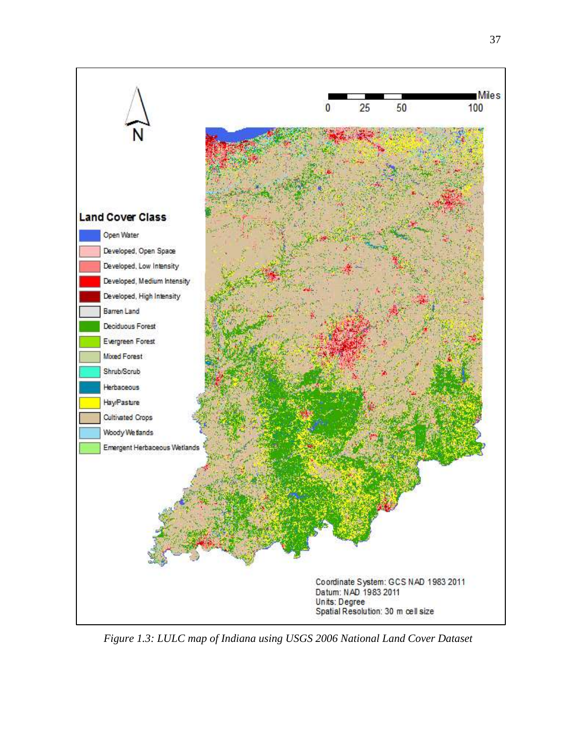

*Figure 1.3: LULC map of Indiana using USGS 2006 National Land Cover Dataset*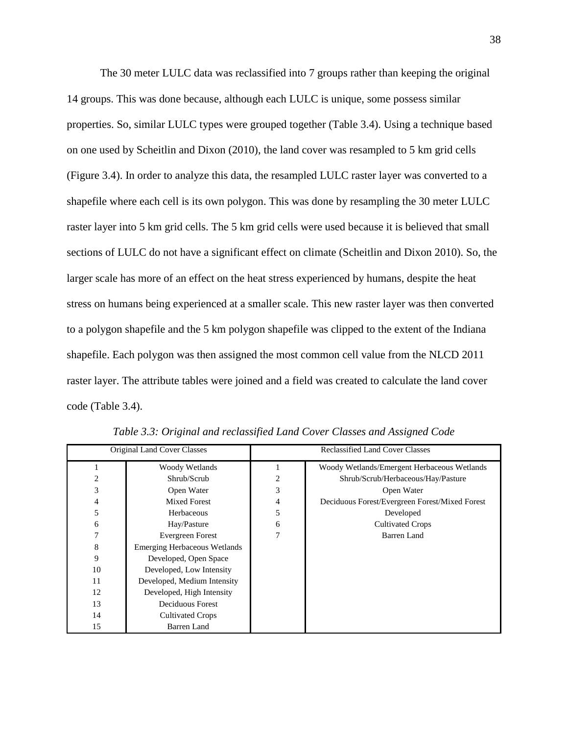The 30 meter LULC data was reclassified into 7 groups rather than keeping the original 14 groups. This was done because, although each LULC is unique, some possess similar properties. So, similar LULC types were grouped together (Table 3.4). Using a technique based on one used by Scheitlin and Dixon (2010), the land cover was resampled to 5 km grid cells (Figure 3.4). In order to analyze this data, the resampled LULC raster layer was converted to a shapefile where each cell is its own polygon. This was done by resampling the 30 meter LULC raster layer into 5 km grid cells. The 5 km grid cells were used because it is believed that small sections of LULC do not have a significant effect on climate (Scheitlin and Dixon 2010). So, the larger scale has more of an effect on the heat stress experienced by humans, despite the heat stress on humans being experienced at a smaller scale. This new raster layer was then converted to a polygon shapefile and the 5 km polygon shapefile was clipped to the extent of the Indiana shapefile. Each polygon was then assigned the most common cell value from the NLCD 2011 raster layer. The attribute tables were joined and a field was created to calculate the land cover code (Table 3.4).

| Original Land Cover Classes |                                     | <b>Reclassified Land Cover Classes</b> |                                                |
|-----------------------------|-------------------------------------|----------------------------------------|------------------------------------------------|
|                             | Woody Wetlands                      |                                        | Woody Wetlands/Emergent Herbaceous Wetlands    |
| 2                           | Shrub/Scrub                         | 2                                      | Shrub/Scrub/Herbaceous/Hay/Pasture             |
| 3                           | Open Water                          | 3                                      | Open Water                                     |
| 4                           | <b>Mixed Forest</b>                 | 4                                      | Deciduous Forest/Evergreen Forest/Mixed Forest |
| 5                           | Herbaceous                          | 5                                      | Developed                                      |
| 6                           | Hay/Pasture                         | 6                                      | <b>Cultivated Crops</b>                        |
| 7                           | <b>Evergreen Forest</b>             | 7                                      | Barren Land                                    |
| 8                           | <b>Emerging Herbaceous Wetlands</b> |                                        |                                                |
| 9                           | Developed, Open Space               |                                        |                                                |
| 10                          | Developed, Low Intensity            |                                        |                                                |
| 11                          | Developed, Medium Intensity         |                                        |                                                |
| 12                          | Developed, High Intensity           |                                        |                                                |
| 13                          | Deciduous Forest                    |                                        |                                                |
| 14                          | <b>Cultivated Crops</b>             |                                        |                                                |
| 15                          | Barren Land                         |                                        |                                                |

*Table 3.3: Original and reclassified Land Cover Classes and Assigned Code*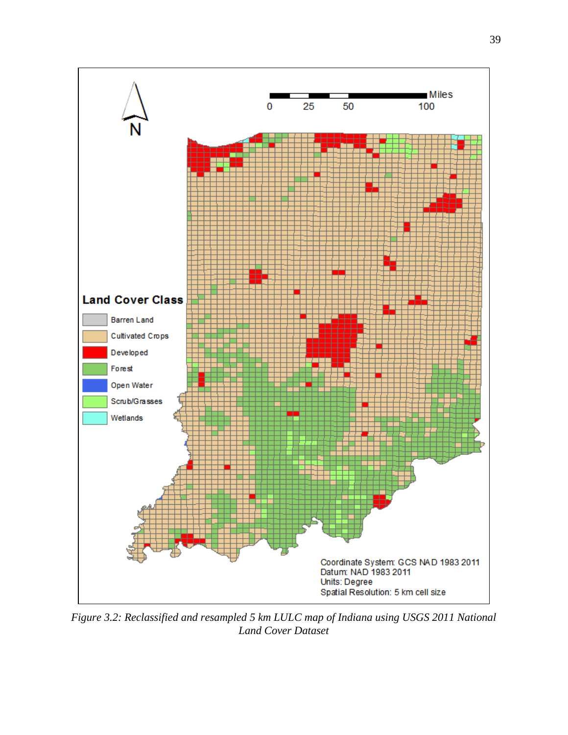

*Figure 3.2: Reclassified and resampled 5 km LULC map of Indiana using USGS 2011 National Land Cover Dataset*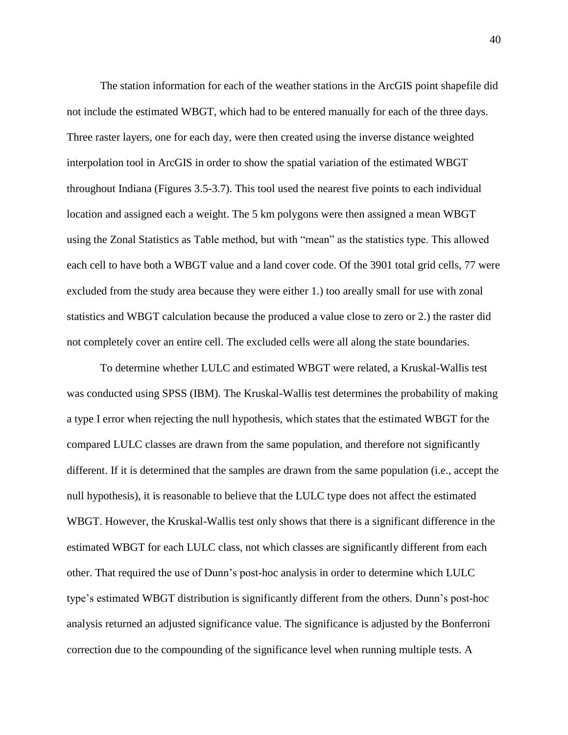The station information for each of the weather stations in the ArcGIS point shapefile did not include the estimated WBGT, which had to be entered manually for each of the three days. Three raster layers, one for each day, were then created using the inverse distance weighted interpolation tool in ArcGIS in order to show the spatial variation of the estimated WBGT throughout Indiana (Figures 3.5-3.7). This tool used the nearest five points to each individual location and assigned each a weight. The 5 km polygons were then assigned a mean WBGT using the Zonal Statistics as Table method, but with "mean" as the statistics type. This allowed each cell to have both a WBGT value and a land cover code. Of the 3901 total grid cells, 77 were excluded from the study area because they were either 1.) too areally small for use with zonal statistics and WBGT calculation because the produced a value close to zero or 2.) the raster did not completely cover an entire cell. The excluded cells were all along the state boundaries.

To determine whether LULC and estimated WBGT were related, a Kruskal-Wallis test was conducted using SPSS (IBM). The Kruskal-Wallis test determines the probability of making a type I error when rejecting the null hypothesis, which states that the estimated WBGT for the compared LULC classes are drawn from the same population, and therefore not significantly different. If it is determined that the samples are drawn from the same population (i.e., accept the null hypothesis), it is reasonable to believe that the LULC type does not affect the estimated WBGT. However, the Kruskal-Wallis test only shows that there is a significant difference in the estimated WBGT for each LULC class, not which classes are significantly different from each other. That required the use of Dunn's post-hoc analysis in order to determine which LULC type's estimated WBGT distribution is significantly different from the others. Dunn's post-hoc analysis returned an adjusted significance value. The significance is adjusted by the Bonferroni correction due to the compounding of the significance level when running multiple tests. A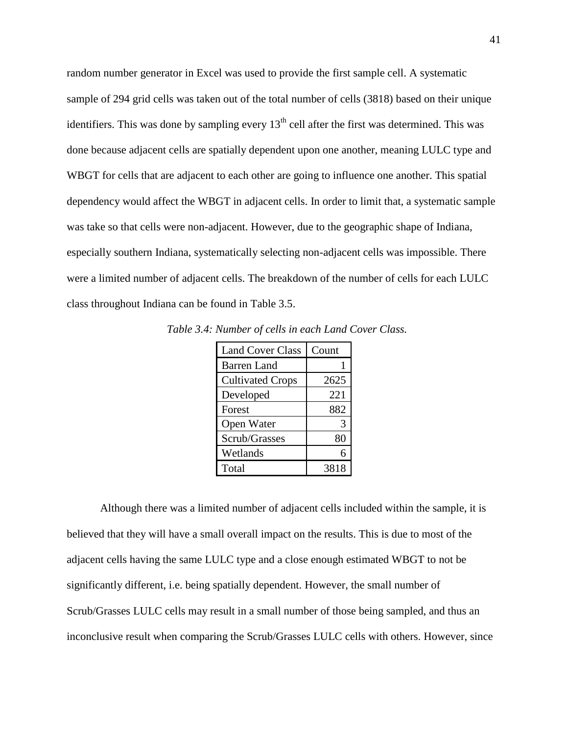random number generator in Excel was used to provide the first sample cell. A systematic sample of 294 grid cells was taken out of the total number of cells (3818) based on their unique identifiers. This was done by sampling every  $13<sup>th</sup>$  cell after the first was determined. This was done because adjacent cells are spatially dependent upon one another, meaning LULC type and WBGT for cells that are adjacent to each other are going to influence one another. This spatial dependency would affect the WBGT in adjacent cells. In order to limit that, a systematic sample was take so that cells were non-adjacent. However, due to the geographic shape of Indiana, especially southern Indiana, systematically selecting non-adjacent cells was impossible. There were a limited number of adjacent cells. The breakdown of the number of cells for each LULC class throughout Indiana can be found in Table 3.5.

| <b>Land Cover Class</b> | Count |
|-------------------------|-------|
| <b>Barren Land</b>      | 1     |
| <b>Cultivated Crops</b> | 2625  |
| Developed               | 221   |
| Forest                  | 882   |
| Open Water              | 3     |
| Scrub/Grasses           | 80    |
| Wetlands                | ŕ     |
| Total                   | 3818  |

*Table 3.4: Number of cells in each Land Cover Class.*

Although there was a limited number of adjacent cells included within the sample, it is believed that they will have a small overall impact on the results. This is due to most of the adjacent cells having the same LULC type and a close enough estimated WBGT to not be significantly different, i.e. being spatially dependent. However, the small number of Scrub/Grasses LULC cells may result in a small number of those being sampled, and thus an inconclusive result when comparing the Scrub/Grasses LULC cells with others. However, since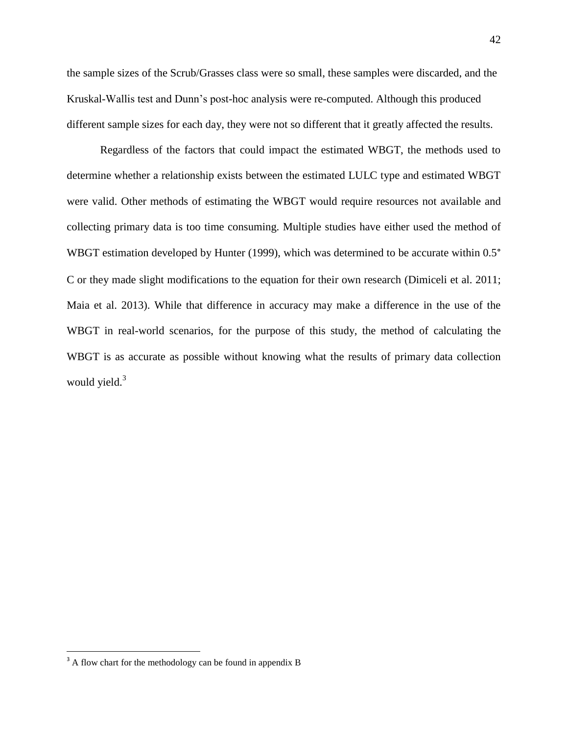the sample sizes of the Scrub/Grasses class were so small, these samples were discarded, and the Kruskal-Wallis test and Dunn's post-hoc analysis were re-computed. Although this produced different sample sizes for each day, they were not so different that it greatly affected the results.

Regardless of the factors that could impact the estimated WBGT, the methods used to determine whether a relationship exists between the estimated LULC type and estimated WBGT were valid. Other methods of estimating the WBGT would require resources not available and collecting primary data is too time consuming. Multiple studies have either used the method of WBGT estimation developed by Hunter (1999), which was determined to be accurate within 0.5° C or they made slight modifications to the equation for their own research (Dimiceli et al. 2011; Maia et al. 2013). While that difference in accuracy may make a difference in the use of the WBGT in real-world scenarios, for the purpose of this study, the method of calculating the WBGT is as accurate as possible without knowing what the results of primary data collection would yield.<sup>3</sup>

 $\overline{a}$ 

<sup>&</sup>lt;sup>3</sup> A flow chart for the methodology can be found in appendix B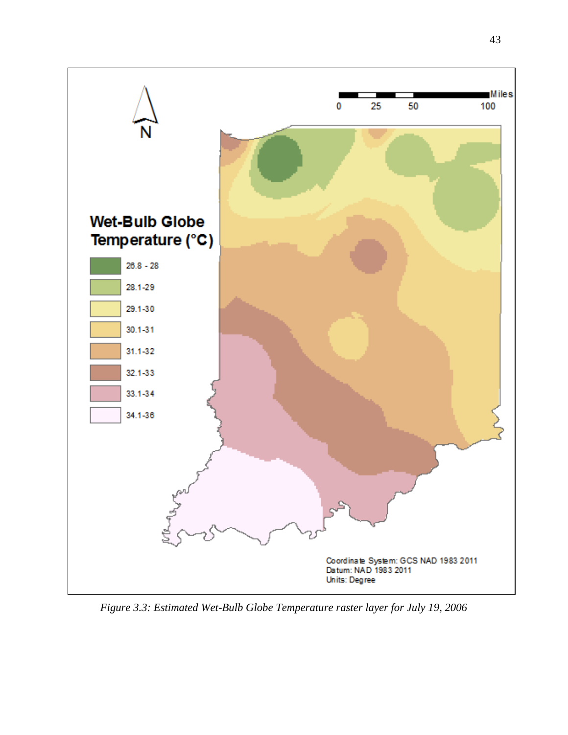

*Figure 3.3: Estimated Wet-Bulb Globe Temperature raster layer for July 19, 2006*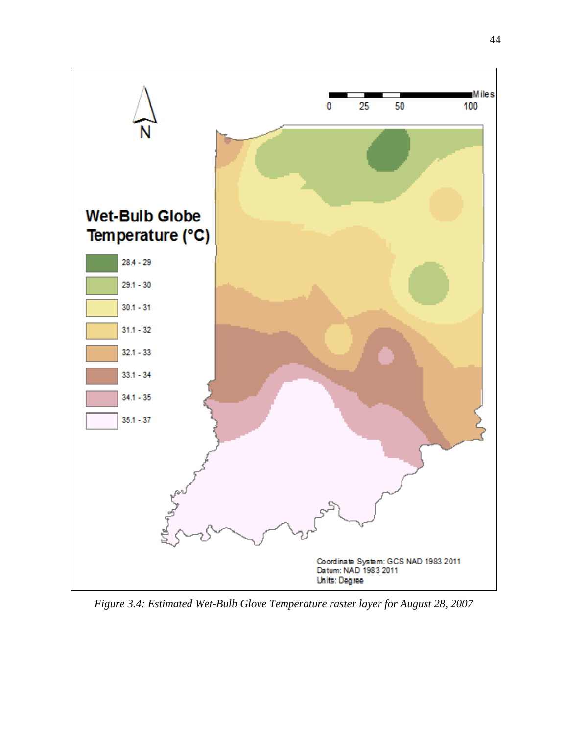

*Figure 3.4: Estimated Wet-Bulb Glove Temperature raster layer for August 28, 2007*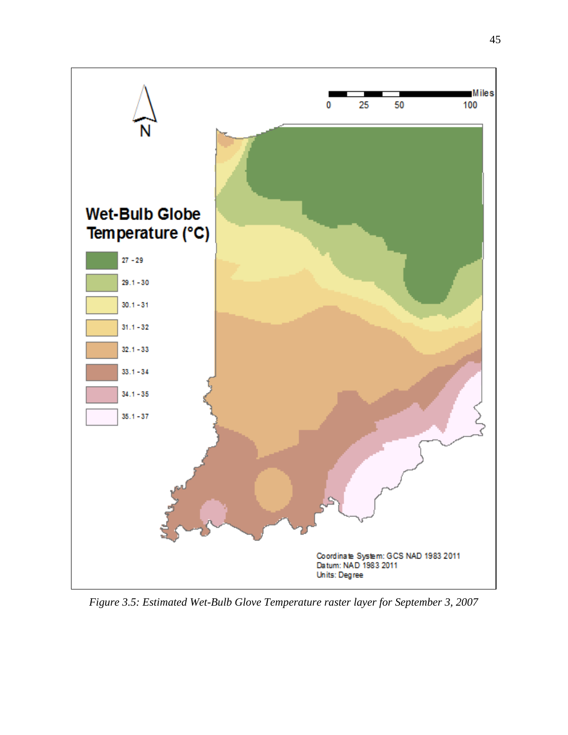

*Figure 3.5: Estimated Wet-Bulb Glove Temperature raster layer for September 3, 2007*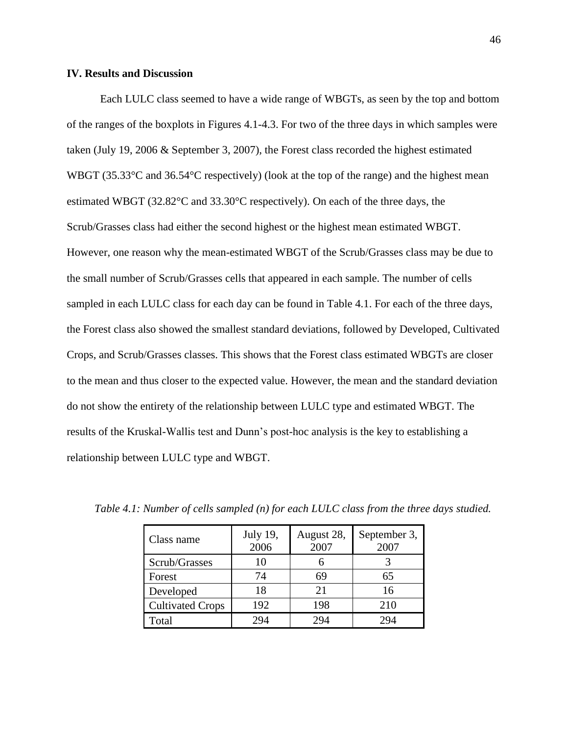#### **IV. Results and Discussion**

Each LULC class seemed to have a wide range of WBGTs, as seen by the top and bottom of the ranges of the boxplots in Figures 4.1-4.3. For two of the three days in which samples were taken (July 19, 2006 & September 3, 2007), the Forest class recorded the highest estimated WBGT (35.33<sup>o</sup>C and 36.54<sup>o</sup>C respectively) (look at the top of the range) and the highest mean estimated WBGT (32.82°C and 33.30°C respectively). On each of the three days, the Scrub/Grasses class had either the second highest or the highest mean estimated WBGT. However, one reason why the mean-estimated WBGT of the Scrub/Grasses class may be due to the small number of Scrub/Grasses cells that appeared in each sample. The number of cells sampled in each LULC class for each day can be found in Table 4.1. For each of the three days, the Forest class also showed the smallest standard deviations, followed by Developed, Cultivated Crops, and Scrub/Grasses classes. This shows that the Forest class estimated WBGTs are closer to the mean and thus closer to the expected value. However, the mean and the standard deviation do not show the entirety of the relationship between LULC type and estimated WBGT. The results of the Kruskal-Wallis test and Dunn's post-hoc analysis is the key to establishing a relationship between LULC type and WBGT.

| Class name              | July 19,<br>2006 | August 28,<br>2007 | September 3,<br>2007 |
|-------------------------|------------------|--------------------|----------------------|
| Scrub/Grasses           | 10               |                    |                      |
| Forest                  | 74               | 69                 | 65                   |
| Developed               | 18               | 21                 | 16                   |
| <b>Cultivated Crops</b> | 192              | 198                | 210                  |
| Total                   | 294              | 294                | 294                  |

 *Table 4.1: Number of cells sampled (n) for each LULC class from the three days studied.*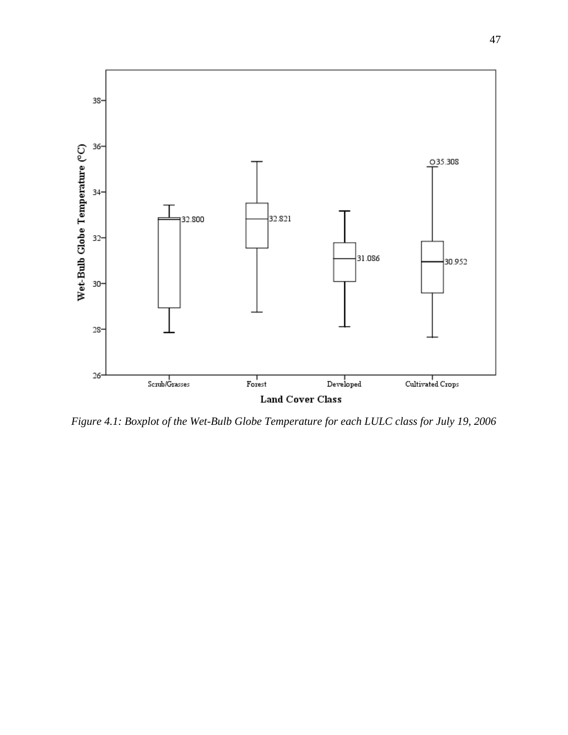

*Figure 4.1: Boxplot of the Wet-Bulb Globe Temperature for each LULC class for July 19, 2006*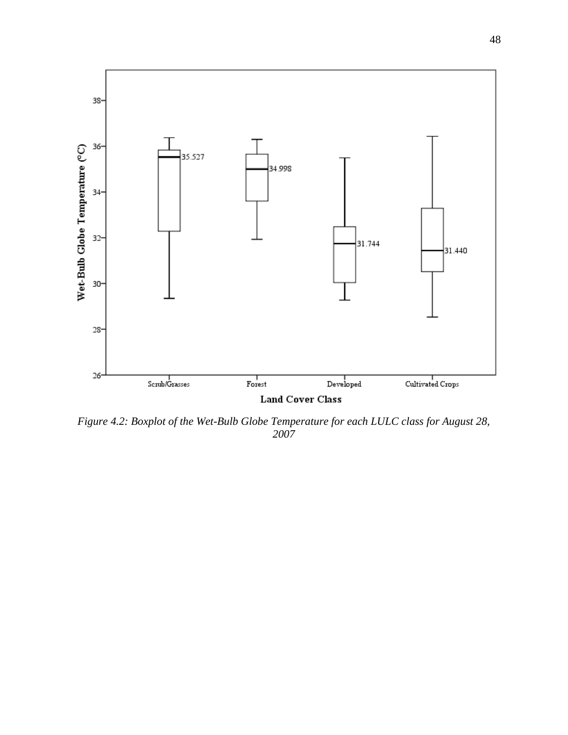

*Figure 4.2: Boxplot of the Wet-Bulb Globe Temperature for each LULC class for August 28,*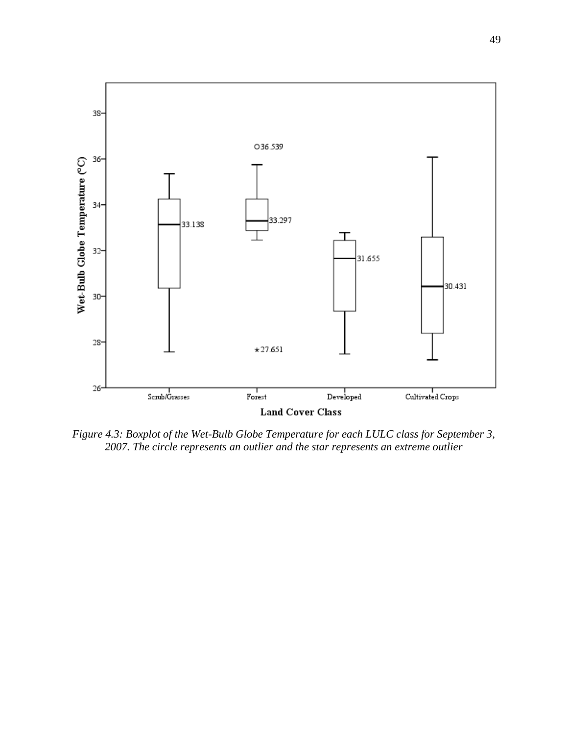

*Figure 4.3: Boxplot of the Wet-Bulb Globe Temperature for each LULC class for September 3, 2007. The circle represents an outlier and the star represents an extreme outlier*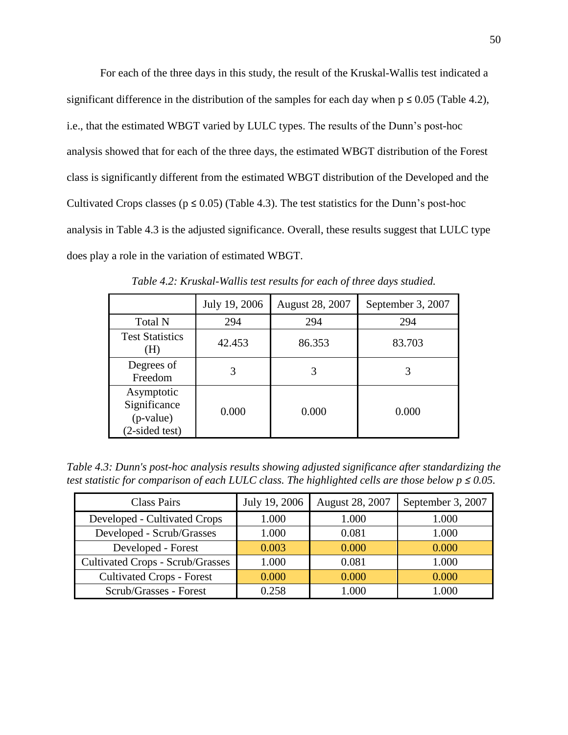For each of the three days in this study, the result of the Kruskal-Wallis test indicated a significant difference in the distribution of the samples for each day when  $p \le 0.05$  (Table 4.2), i.e., that the estimated WBGT varied by LULC types. The results of the Dunn's post-hoc analysis showed that for each of the three days, the estimated WBGT distribution of the Forest class is significantly different from the estimated WBGT distribution of the Developed and the Cultivated Crops classes ( $p \le 0.05$ ) (Table 4.3). The test statistics for the Dunn's post-hoc analysis in Table 4.3 is the adjusted significance. Overall, these results suggest that LULC type does play a role in the variation of estimated WBGT.

|                                                           | July 19, 2006 | August 28, 2007 | September 3, 2007 |
|-----------------------------------------------------------|---------------|-----------------|-------------------|
| <b>Total N</b>                                            | 294           | 294             | 294               |
| <b>Test Statistics</b><br>(H)                             | 42.453        | 86.353          | 83.703            |
| Degrees of<br>Freedom                                     | 3             | 3               |                   |
| Asymptotic<br>Significance<br>(p-value)<br>(2-sided test) | 0.000         | 0.000           | 0.000             |

*Table 4.2: Kruskal-Wallis test results for each of three days studied.*

*Table 4.3: Dunn's post-hoc analysis results showing adjusted significance after standardizing the test statistic for comparison of each LULC class. The highlighted cells are those below*  $p \leq 0.05$ *.* 

| <b>Class Pairs</b>                      | July 19, 2006 | August 28, 2007 | September 3, 2007 |
|-----------------------------------------|---------------|-----------------|-------------------|
| Developed - Cultivated Crops            | 1.000         | 1.000           | 1.000             |
| Developed - Scrub/Grasses               | 1.000         | 0.081           | 1.000             |
| Developed - Forest                      | 0.003         | 0.000           | 0.000             |
| <b>Cultivated Crops - Scrub/Grasses</b> | 1.000         | 0.081           | 1.000             |
| <b>Cultivated Crops - Forest</b>        | 0.000         | 0.000           | 0.000             |
| Scrub/Grasses - Forest                  | 0.258         | 1.000           | $1.000\,$         |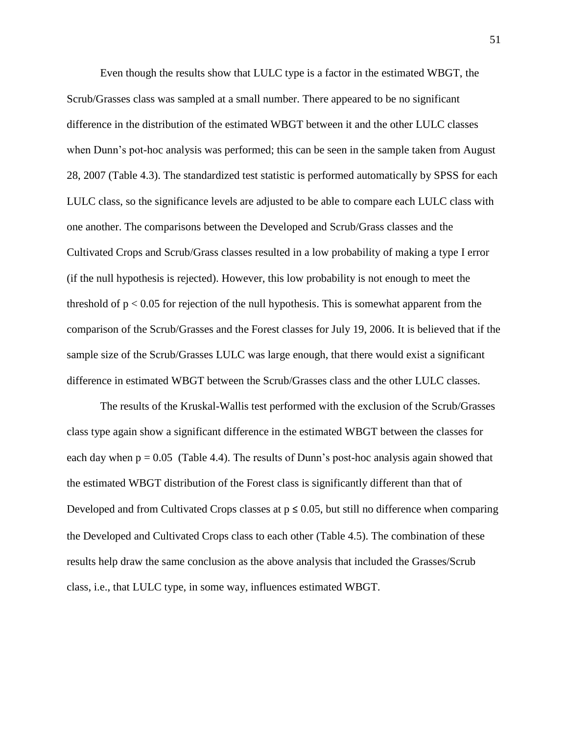Even though the results show that LULC type is a factor in the estimated WBGT, the Scrub/Grasses class was sampled at a small number. There appeared to be no significant difference in the distribution of the estimated WBGT between it and the other LULC classes when Dunn's pot-hoc analysis was performed; this can be seen in the sample taken from August 28, 2007 (Table 4.3). The standardized test statistic is performed automatically by SPSS for each LULC class, so the significance levels are adjusted to be able to compare each LULC class with one another. The comparisons between the Developed and Scrub/Grass classes and the Cultivated Crops and Scrub/Grass classes resulted in a low probability of making a type I error (if the null hypothesis is rejected). However, this low probability is not enough to meet the threshold of  $p < 0.05$  for rejection of the null hypothesis. This is somewhat apparent from the comparison of the Scrub/Grasses and the Forest classes for July 19, 2006. It is believed that if the sample size of the Scrub/Grasses LULC was large enough, that there would exist a significant difference in estimated WBGT between the Scrub/Grasses class and the other LULC classes.

The results of the Kruskal-Wallis test performed with the exclusion of the Scrub/Grasses class type again show a significant difference in the estimated WBGT between the classes for each day when  $p = 0.05$  (Table 4.4). The results of Dunn's post-hoc analysis again showed that the estimated WBGT distribution of the Forest class is significantly different than that of Developed and from Cultivated Crops classes at  $p \le 0.05$ , but still no difference when comparing the Developed and Cultivated Crops class to each other (Table 4.5). The combination of these results help draw the same conclusion as the above analysis that included the Grasses/Scrub class, i.e., that LULC type, in some way, influences estimated WBGT.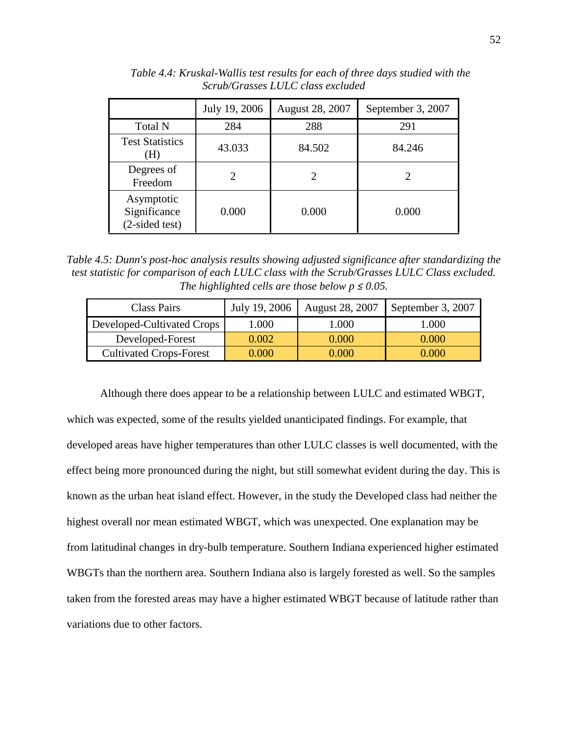|                                              | July 19, 2006          | August 28, 2007 | September 3, 2007 |
|----------------------------------------------|------------------------|-----------------|-------------------|
| <b>Total N</b>                               | 284                    | 288             | 291               |
| <b>Test Statistics</b><br>(H)                | 43.033                 | 84.502          | 84.246            |
| Degrees of<br>Freedom                        | $\mathfrak{D}_{\cdot}$ |                 |                   |
| Asymptotic<br>Significance<br>(2-sided test) | 0.000                  | 0.000           | 0.000             |

*Table 4.4: Kruskal-Wallis test results for each of three days studied with the Scrub/Grasses LULC class excluded*

*Table 4.5: Dunn's post-hoc analysis results showing adjusted significance after standardizing the test statistic for comparison of each LULC class with the Scrub/Grasses LULC Class excluded. The highlighted cells are those below*  $p \leq 0.05$ *.* 

| Class Pairs                    | July 19, 2006 | August 28, 2007 | September 3, 2007 |
|--------------------------------|---------------|-----------------|-------------------|
| Developed-Cultivated Crops     | 1.000         | 000.1           | 1.000             |
| Developed-Forest               | 0.002         | 0.000           | 0.000             |
| <b>Cultivated Crops-Forest</b> | 0.000         |                 | 0.000             |

Although there does appear to be a relationship between LULC and estimated WBGT, which was expected, some of the results yielded unanticipated findings. For example, that developed areas have higher temperatures than other LULC classes is well documented, with the effect being more pronounced during the night, but still somewhat evident during the day. This is known as the urban heat island effect. However, in the study the Developed class had neither the highest overall nor mean estimated WBGT, which was unexpected. One explanation may be from latitudinal changes in dry-bulb temperature. Southern Indiana experienced higher estimated WBGTs than the northern area. Southern Indiana also is largely forested as well. So the samples taken from the forested areas may have a higher estimated WBGT because of latitude rather than variations due to other factors.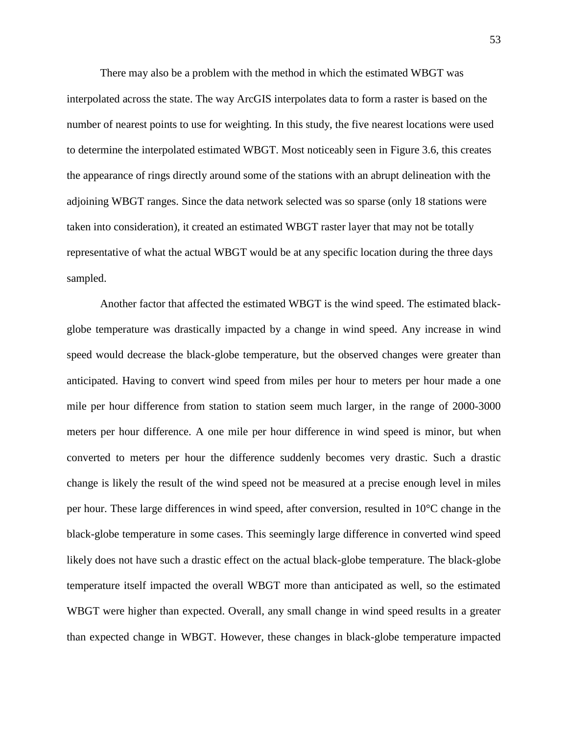There may also be a problem with the method in which the estimated WBGT was interpolated across the state. The way ArcGIS interpolates data to form a raster is based on the number of nearest points to use for weighting. In this study, the five nearest locations were used to determine the interpolated estimated WBGT. Most noticeably seen in Figure 3.6, this creates the appearance of rings directly around some of the stations with an abrupt delineation with the adjoining WBGT ranges. Since the data network selected was so sparse (only 18 stations were taken into consideration), it created an estimated WBGT raster layer that may not be totally representative of what the actual WBGT would be at any specific location during the three days sampled.

Another factor that affected the estimated WBGT is the wind speed. The estimated blackglobe temperature was drastically impacted by a change in wind speed. Any increase in wind speed would decrease the black-globe temperature, but the observed changes were greater than anticipated. Having to convert wind speed from miles per hour to meters per hour made a one mile per hour difference from station to station seem much larger, in the range of 2000-3000 meters per hour difference. A one mile per hour difference in wind speed is minor, but when converted to meters per hour the difference suddenly becomes very drastic. Such a drastic change is likely the result of the wind speed not be measured at a precise enough level in miles per hour. These large differences in wind speed, after conversion, resulted in 10°C change in the black-globe temperature in some cases. This seemingly large difference in converted wind speed likely does not have such a drastic effect on the actual black-globe temperature. The black-globe temperature itself impacted the overall WBGT more than anticipated as well, so the estimated WBGT were higher than expected. Overall, any small change in wind speed results in a greater than expected change in WBGT. However, these changes in black-globe temperature impacted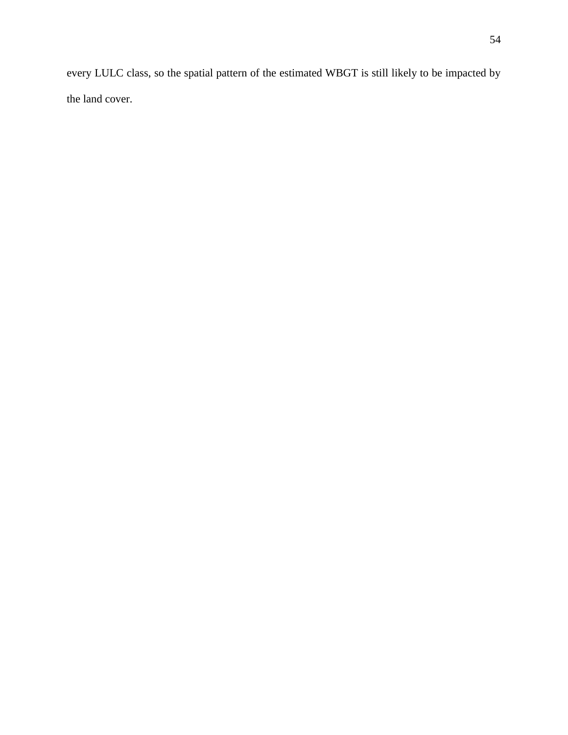every LULC class, so the spatial pattern of the estimated WBGT is still likely to be impacted by the land cover.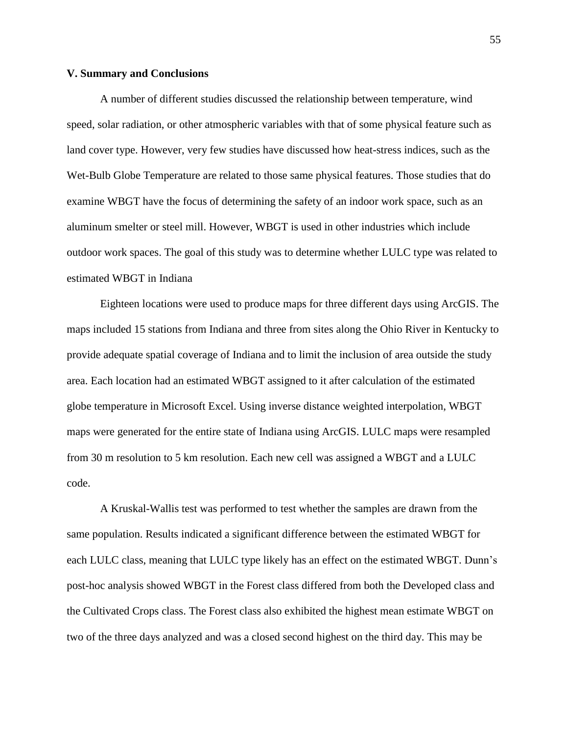#### **V. Summary and Conclusions**

A number of different studies discussed the relationship between temperature, wind speed, solar radiation, or other atmospheric variables with that of some physical feature such as land cover type. However, very few studies have discussed how heat-stress indices, such as the Wet-Bulb Globe Temperature are related to those same physical features. Those studies that do examine WBGT have the focus of determining the safety of an indoor work space, such as an aluminum smelter or steel mill. However, WBGT is used in other industries which include outdoor work spaces. The goal of this study was to determine whether LULC type was related to estimated WBGT in Indiana

Eighteen locations were used to produce maps for three different days using ArcGIS. The maps included 15 stations from Indiana and three from sites along the Ohio River in Kentucky to provide adequate spatial coverage of Indiana and to limit the inclusion of area outside the study area. Each location had an estimated WBGT assigned to it after calculation of the estimated globe temperature in Microsoft Excel. Using inverse distance weighted interpolation, WBGT maps were generated for the entire state of Indiana using ArcGIS. LULC maps were resampled from 30 m resolution to 5 km resolution. Each new cell was assigned a WBGT and a LULC code.

A Kruskal-Wallis test was performed to test whether the samples are drawn from the same population. Results indicated a significant difference between the estimated WBGT for each LULC class, meaning that LULC type likely has an effect on the estimated WBGT. Dunn's post-hoc analysis showed WBGT in the Forest class differed from both the Developed class and the Cultivated Crops class. The Forest class also exhibited the highest mean estimate WBGT on two of the three days analyzed and was a closed second highest on the third day. This may be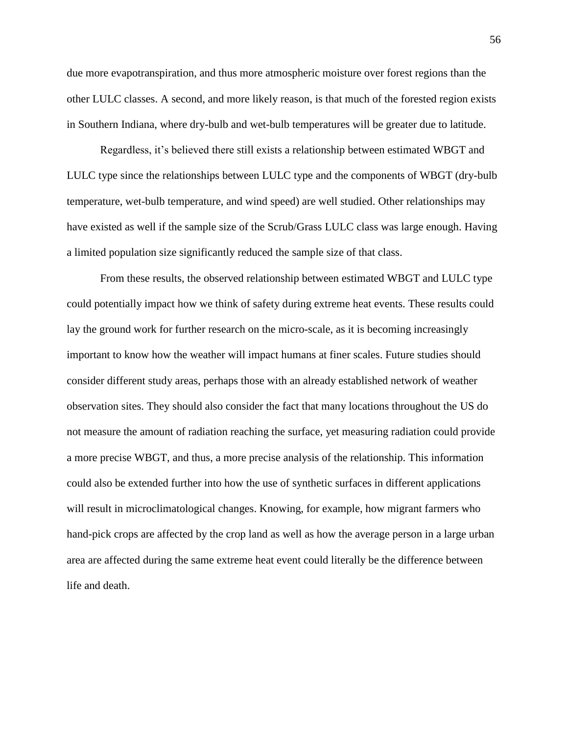due more evapotranspiration, and thus more atmospheric moisture over forest regions than the other LULC classes. A second, and more likely reason, is that much of the forested region exists in Southern Indiana, where dry-bulb and wet-bulb temperatures will be greater due to latitude.

Regardless, it's believed there still exists a relationship between estimated WBGT and LULC type since the relationships between LULC type and the components of WBGT (dry-bulb temperature, wet-bulb temperature, and wind speed) are well studied. Other relationships may have existed as well if the sample size of the Scrub/Grass LULC class was large enough. Having a limited population size significantly reduced the sample size of that class.

From these results, the observed relationship between estimated WBGT and LULC type could potentially impact how we think of safety during extreme heat events. These results could lay the ground work for further research on the micro-scale, as it is becoming increasingly important to know how the weather will impact humans at finer scales. Future studies should consider different study areas, perhaps those with an already established network of weather observation sites. They should also consider the fact that many locations throughout the US do not measure the amount of radiation reaching the surface, yet measuring radiation could provide a more precise WBGT, and thus, a more precise analysis of the relationship. This information could also be extended further into how the use of synthetic surfaces in different applications will result in microclimatological changes. Knowing, for example, how migrant farmers who hand-pick crops are affected by the crop land as well as how the average person in a large urban area are affected during the same extreme heat event could literally be the difference between life and death.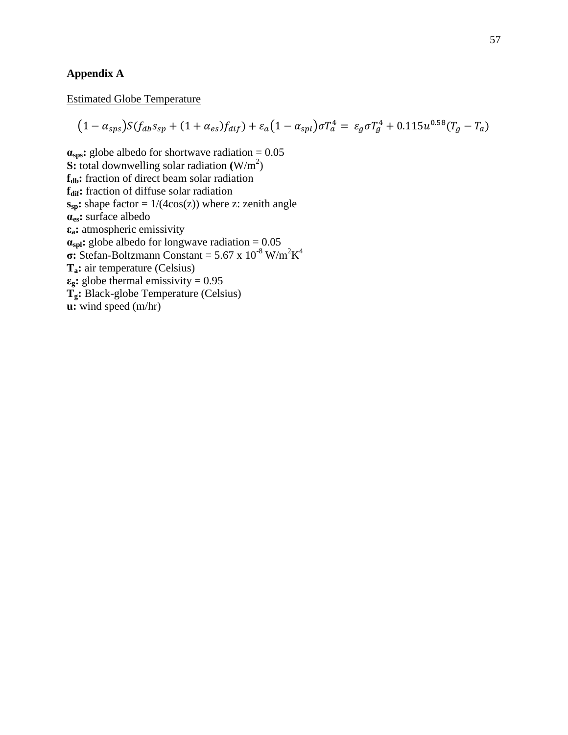## **Appendix A**

#### Estimated Globe Temperature

$$
(1 - \alpha_{sps}) S(f_{db} s_{sp} + (1 + \alpha_{es}) f_{dif}) + \varepsilon_a (1 - \alpha_{spl}) \sigma T_a^4 = \varepsilon_g \sigma T_g^4 + 0.115 u^{0.58} (T_g - T_a)
$$

 $\alpha_{\rm{sns}}$ ; globe albedo for shortwave radiation = 0.05 **S:** total downwelling solar radiation  $(W/m^2)$ **fdb:** fraction of direct beam solar radiation **fdif:** fraction of diffuse solar radiation  $s_{\text{sn}}$ **:** shape factor =  $1/(4\cos(z))$  where z: zenith angle **αes:** surface albedo **εa:** atmospheric emissivity  $\alpha_{\text{spl}}$ **:** globe albedo for longwave radiation = 0.05 **σ:** Stefan-Boltzmann Constant =  $5.67 \times 10^{-8}$  W/m<sup>2</sup>K<sup>4</sup> **Ta:** air temperature (Celsius) **εg:** globe thermal emissivity = 0.95 **Tg:** Black-globe Temperature (Celsius) u: wind speed (m/hr)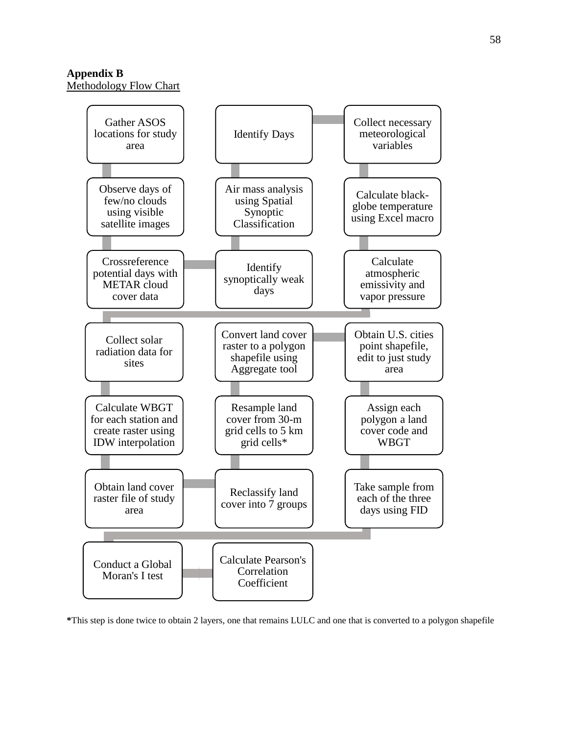**Appendix B** Methodology Flow Chart



**\***This step is done twice to obtain 2 layers, one that remains LULC and one that is converted to a polygon shapefile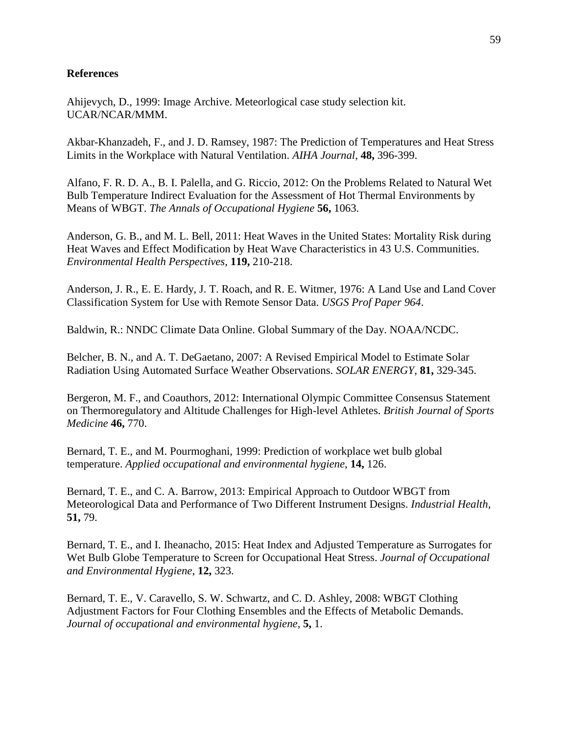### **References**

Ahijevych, D., 1999: Image Archive. Meteorlogical case study selection kit. UCAR/NCAR/MMM.

Akbar-Khanzadeh, F., and J. D. Ramsey, 1987: The Prediction of Temperatures and Heat Stress Limits in the Workplace with Natural Ventilation. *AIHA Journal*, **48,** 396-399.

Alfano, F. R. D. A., B. I. Palella, and G. Riccio, 2012: On the Problems Related to Natural Wet Bulb Temperature Indirect Evaluation for the Assessment of Hot Thermal Environments by Means of WBGT. *The Annals of Occupational Hygiene* **56,** 1063.

Anderson, G. B., and M. L. Bell, 2011: Heat Waves in the United States: Mortality Risk during Heat Waves and Effect Modification by Heat Wave Characteristics in 43 U.S. Communities. *Environmental Health Perspectives*, **119,** 210-218.

Anderson, J. R., E. E. Hardy, J. T. Roach, and R. E. Witmer, 1976: A Land Use and Land Cover Classification System for Use with Remote Sensor Data. *USGS Prof Paper 964*.

Baldwin, R.: NNDC Climate Data Online. Global Summary of the Day. NOAA/NCDC.

Belcher, B. N., and A. T. DeGaetano, 2007: A Revised Empirical Model to Estimate Solar Radiation Using Automated Surface Weather Observations. *SOLAR ENERGY*, **81,** 329-345.

Bergeron, M. F., and Coauthors, 2012: International Olympic Committee Consensus Statement on Thermoregulatory and Altitude Challenges for High-level Athletes. *British Journal of Sports Medicine* **46,** 770.

Bernard, T. E., and M. Pourmoghani, 1999: Prediction of workplace wet bulb global temperature. *Applied occupational and environmental hygiene*, **14,** 126.

Bernard, T. E., and C. A. Barrow, 2013: Empirical Approach to Outdoor WBGT from Meteorological Data and Performance of Two Different Instrument Designs. *Industrial Health*, **51,** 79.

Bernard, T. E., and I. Iheanacho, 2015: Heat Index and Adjusted Temperature as Surrogates for Wet Bulb Globe Temperature to Screen for Occupational Heat Stress. *Journal of Occupational and Environmental Hygiene*, **12,** 323.

Bernard, T. E., V. Caravello, S. W. Schwartz, and C. D. Ashley, 2008: WBGT Clothing Adjustment Factors for Four Clothing Ensembles and the Effects of Metabolic Demands. *Journal of occupational and environmental hygiene*, **5,** 1.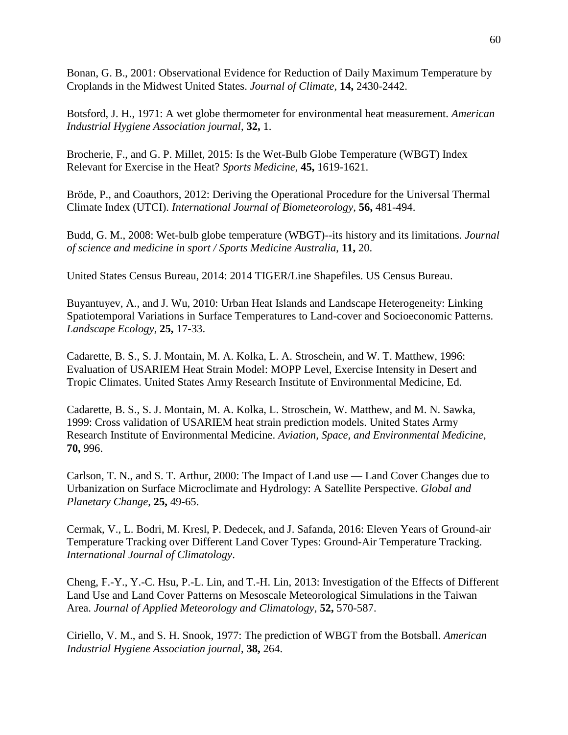Bonan, G. B., 2001: Observational Evidence for Reduction of Daily Maximum Temperature by Croplands in the Midwest United States. *Journal of Climate*, **14,** 2430-2442.

Botsford, J. H., 1971: A wet globe thermometer for environmental heat measurement. *American Industrial Hygiene Association journal*, **32,** 1.

Brocherie, F., and G. P. Millet, 2015: Is the Wet-Bulb Globe Temperature (WBGT) Index Relevant for Exercise in the Heat? *Sports Medicine*, **45,** 1619-1621.

Bröde, P., and Coauthors, 2012: Deriving the Operational Procedure for the Universal Thermal Climate Index (UTCI). *International Journal of Biometeorology*, **56,** 481-494.

Budd, G. M., 2008: Wet-bulb globe temperature (WBGT)--its history and its limitations. *Journal of science and medicine in sport / Sports Medicine Australia*, **11,** 20.

United States Census Bureau, 2014: 2014 TIGER/Line Shapefiles. US Census Bureau.

Buyantuyev, A., and J. Wu, 2010: Urban Heat Islands and Landscape Heterogeneity: Linking Spatiotemporal Variations in Surface Temperatures to Land-cover and Socioeconomic Patterns. *Landscape Ecology*, **25,** 17-33.

Cadarette, B. S., S. J. Montain, M. A. Kolka, L. A. Stroschein, and W. T. Matthew, 1996: Evaluation of USARIEM Heat Strain Model: MOPP Level, Exercise Intensity in Desert and Tropic Climates. United States Army Research Institute of Environmental Medicine, Ed.

Cadarette, B. S., S. J. Montain, M. A. Kolka, L. Stroschein, W. Matthew, and M. N. Sawka, 1999: Cross validation of USARIEM heat strain prediction models. United States Army Research Institute of Environmental Medicine. *Aviation, Space, and Environmental Medicine*, **70,** 996.

Carlson, T. N., and S. T. Arthur, 2000: The Impact of Land use — Land Cover Changes due to Urbanization on Surface Microclimate and Hydrology: A Satellite Perspective. *Global and Planetary Change*, **25,** 49-65.

Cermak, V., L. Bodri, M. Kresl, P. Dedecek, and J. Safanda, 2016: Eleven Years of Ground-air Temperature Tracking over Different Land Cover Types: Ground-Air Temperature Tracking. *International Journal of Climatology*.

Cheng, F.-Y., Y.-C. Hsu, P.-L. Lin, and T.-H. Lin, 2013: Investigation of the Effects of Different Land Use and Land Cover Patterns on Mesoscale Meteorological Simulations in the Taiwan Area. *Journal of Applied Meteorology and Climatology*, **52,** 570-587.

Ciriello, V. M., and S. H. Snook, 1977: The prediction of WBGT from the Botsball. *American Industrial Hygiene Association journal*, **38,** 264.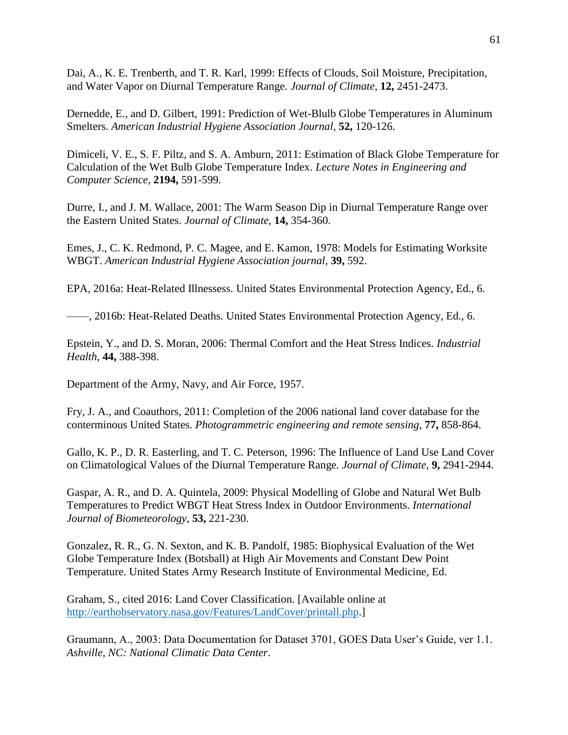Dai, A., K. E. Trenberth, and T. R. Karl, 1999: Effects of Clouds, Soil Moisture, Precipitation, and Water Vapor on Diurnal Temperature Range. *Journal of Climate*, **12,** 2451-2473.

Dernedde, E., and D. Gilbert, 1991: Prediction of Wet-Blulb Globe Temperatures in Aluminum Smelters. *American Industrial Hygiene Association Journal*, **52,** 120-126.

Dimiceli, V. E., S. F. Piltz, and S. A. Amburn, 2011: Estimation of Black Globe Temperature for Calculation of the Wet Bulb Globe Temperature Index. *Lecture Notes in Engineering and Computer Science*, **2194,** 591-599.

Durre, I., and J. M. Wallace, 2001: The Warm Season Dip in Diurnal Temperature Range over the Eastern United States. *Journal of Climate*, **14,** 354-360.

Emes, J., C. K. Redmond, P. C. Magee, and E. Kamon, 1978: Models for Estimating Worksite WBGT. *American Industrial Hygiene Association journal*, **39,** 592.

EPA, 2016a: Heat-Related Illnessess. United States Environmental Protection Agency, Ed., 6.

——, 2016b: Heat-Related Deaths. United States Environmental Protection Agency, Ed., 6.

Epstein, Y., and D. S. Moran, 2006: Thermal Comfort and the Heat Stress Indices. *Industrial Health*, **44,** 388-398.

Department of the Army, Navy, and Air Force, 1957.

Fry, J. A., and Coauthors, 2011: Completion of the 2006 national land cover database for the conterminous United States. *Photogrammetric engineering and remote sensing*, **77,** 858-864.

Gallo, K. P., D. R. Easterling, and T. C. Peterson, 1996: The Influence of Land Use Land Cover on Climatological Values of the Diurnal Temperature Range. *Journal of Climate*, **9,** 2941-2944.

Gaspar, A. R., and D. A. Quintela, 2009: Physical Modelling of Globe and Natural Wet Bulb Temperatures to Predict WBGT Heat Stress Index in Outdoor Environments. *International Journal of Biometeorology*, **53,** 221-230.

Gonzalez, R. R., G. N. Sexton, and K. B. Pandolf, 1985: Biophysical Evaluation of the Wet Globe Temperature Index (Botsball) at High Air Movements and Constant Dew Point Temperature. United States Army Research Institute of Environmental Medicine, Ed.

Graham, S., cited 2016: Land Cover Classification. [Available online at [http://earthobservatory.nasa.gov/Features/LandCover/printall.php.](http://earthobservatory.nasa.gov/Features/LandCover/printall.php)]

Graumann, A., 2003: Data Documentation for Dataset 3701, GOES Data User's Guide, ver 1.1. *Ashville, NC: National Climatic Data Center*.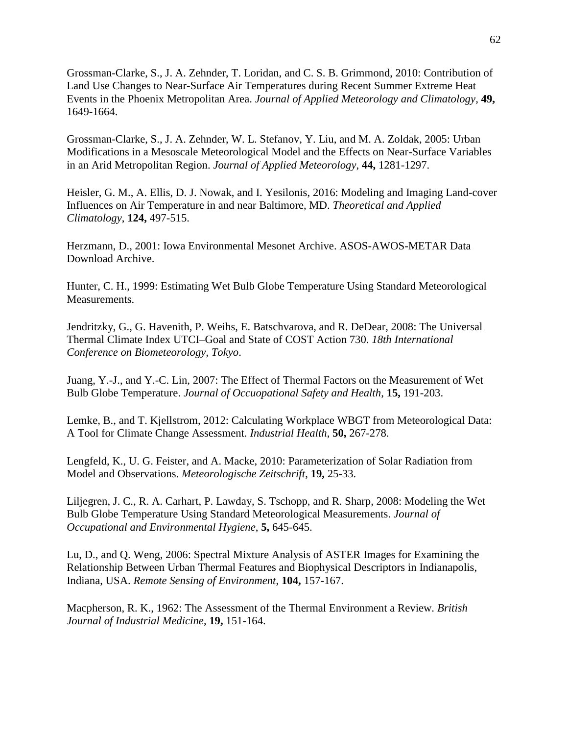Grossman-Clarke, S., J. A. Zehnder, T. Loridan, and C. S. B. Grimmond, 2010: Contribution of Land Use Changes to Near-Surface Air Temperatures during Recent Summer Extreme Heat Events in the Phoenix Metropolitan Area. *Journal of Applied Meteorology and Climatology*, **49,** 1649-1664.

Grossman-Clarke, S., J. A. Zehnder, W. L. Stefanov, Y. Liu, and M. A. Zoldak, 2005: Urban Modifications in a Mesoscale Meteorological Model and the Effects on Near-Surface Variables in an Arid Metropolitan Region. *Journal of Applied Meteorology*, **44,** 1281-1297.

Heisler, G. M., A. Ellis, D. J. Nowak, and I. Yesilonis, 2016: Modeling and Imaging Land-cover Influences on Air Temperature in and near Baltimore, MD. *Theoretical and Applied Climatology*, **124,** 497-515.

Herzmann, D., 2001: Iowa Environmental Mesonet Archive. ASOS-AWOS-METAR Data Download Archive.

Hunter, C. H., 1999: Estimating Wet Bulb Globe Temperature Using Standard Meteorological Measurements.

Jendritzky, G., G. Havenith, P. Weihs, E. Batschvarova, and R. DeDear, 2008: The Universal Thermal Climate Index UTCI–Goal and State of COST Action 730. *18th International Conference on Biometeorology, Tokyo*.

Juang, Y.-J., and Y.-C. Lin, 2007: The Effect of Thermal Factors on the Measurement of Wet Bulb Globe Temperature. *Journal of Occuopational Safety and Health*, **15,** 191-203.

Lemke, B., and T. Kjellstrom, 2012: Calculating Workplace WBGT from Meteorological Data: A Tool for Climate Change Assessment. *Industrial Health*, **50,** 267-278.

Lengfeld, K., U. G. Feister, and A. Macke, 2010: Parameterization of Solar Radiation from Model and Observations. *Meteorologische Zeitschrift*, **19,** 25-33.

Liljegren, J. C., R. A. Carhart, P. Lawday, S. Tschopp, and R. Sharp, 2008: Modeling the Wet Bulb Globe Temperature Using Standard Meteorological Measurements. *Journal of Occupational and Environmental Hygiene*, **5,** 645-645.

Lu, D., and Q. Weng, 2006: Spectral Mixture Analysis of ASTER Images for Examining the Relationship Between Urban Thermal Features and Biophysical Descriptors in Indianapolis, Indiana, USA. *Remote Sensing of Environment*, **104,** 157-167.

Macpherson, R. K., 1962: The Assessment of the Thermal Environment a Review. *British Journal of Industrial Medicine*, **19,** 151-164.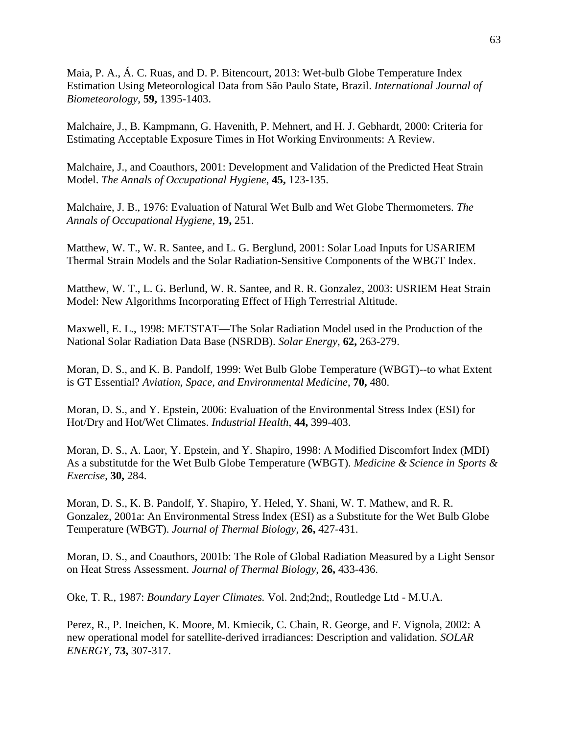Maia, P. A., Á. C. Ruas, and D. P. Bitencourt, 2013: Wet-bulb Globe Temperature Index Estimation Using Meteorological Data from São Paulo State, Brazil. *International Journal of Biometeorology*, **59,** 1395-1403.

Malchaire, J., B. Kampmann, G. Havenith, P. Mehnert, and H. J. Gebhardt, 2000: Criteria for Estimating Acceptable Exposure Times in Hot Working Environments: A Review.

Malchaire, J., and Coauthors, 2001: Development and Validation of the Predicted Heat Strain Model. *The Annals of Occupational Hygiene*, **45,** 123-135.

Malchaire, J. B., 1976: Evaluation of Natural Wet Bulb and Wet Globe Thermometers. *The Annals of Occupational Hygiene*, **19,** 251.

Matthew, W. T., W. R. Santee, and L. G. Berglund, 2001: Solar Load Inputs for USARIEM Thermal Strain Models and the Solar Radiation-Sensitive Components of the WBGT Index.

Matthew, W. T., L. G. Berlund, W. R. Santee, and R. R. Gonzalez, 2003: USRIEM Heat Strain Model: New Algorithms Incorporating Effect of High Terrestrial Altitude.

Maxwell, E. L., 1998: METSTAT—The Solar Radiation Model used in the Production of the National Solar Radiation Data Base (NSRDB). *Solar Energy*, **62,** 263-279.

Moran, D. S., and K. B. Pandolf, 1999: Wet Bulb Globe Temperature (WBGT)--to what Extent is GT Essential? *Aviation, Space, and Environmental Medicine*, **70,** 480.

Moran, D. S., and Y. Epstein, 2006: Evaluation of the Environmental Stress Index (ESI) for Hot/Dry and Hot/Wet Climates. *Industrial Health*, **44,** 399-403.

Moran, D. S., A. Laor, Y. Epstein, and Y. Shapiro, 1998: A Modified Discomfort Index (MDI) As a substitutde for the Wet Bulb Globe Temperature (WBGT). *Medicine & Science in Sports & Exercise*, **30,** 284.

Moran, D. S., K. B. Pandolf, Y. Shapiro, Y. Heled, Y. Shani, W. T. Mathew, and R. R. Gonzalez, 2001a: An Environmental Stress Index (ESI) as a Substitute for the Wet Bulb Globe Temperature (WBGT). *Journal of Thermal Biology*, **26,** 427-431.

Moran, D. S., and Coauthors, 2001b: The Role of Global Radiation Measured by a Light Sensor on Heat Stress Assessment. *Journal of Thermal Biology*, **26,** 433-436.

Oke, T. R., 1987: *Boundary Layer Climates.* Vol. 2nd;2nd;, Routledge Ltd - M.U.A.

Perez, R., P. Ineichen, K. Moore, M. Kmiecik, C. Chain, R. George, and F. Vignola, 2002: A new operational model for satellite-derived irradiances: Description and validation. *SOLAR ENERGY*, **73,** 307-317.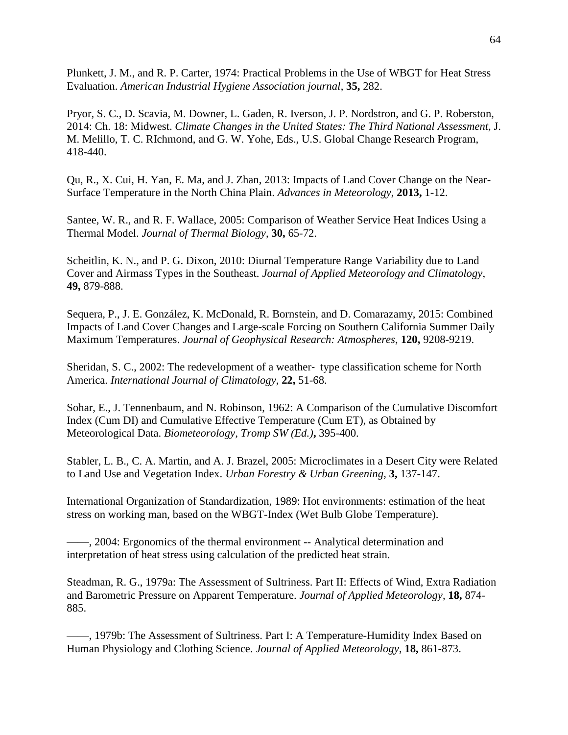Plunkett, J. M., and R. P. Carter, 1974: Practical Problems in the Use of WBGT for Heat Stress Evaluation. *American Industrial Hygiene Association journal*, **35,** 282.

Pryor, S. C., D. Scavia, M. Downer, L. Gaden, R. Iverson, J. P. Nordstron, and G. P. Roberston, 2014: Ch. 18: Midwest. *Climate Changes in the United States: The Third National Assessment*, J. M. Melillo, T. C. RIchmond, and G. W. Yohe, Eds., U.S. Global Change Research Program, 418-440.

Qu, R., X. Cui, H. Yan, E. Ma, and J. Zhan, 2013: Impacts of Land Cover Change on the Near-Surface Temperature in the North China Plain. *Advances in Meteorology*, **2013,** 1-12.

Santee, W. R., and R. F. Wallace, 2005: Comparison of Weather Service Heat Indices Using a Thermal Model. *Journal of Thermal Biology*, **30,** 65-72.

Scheitlin, K. N., and P. G. Dixon, 2010: Diurnal Temperature Range Variability due to Land Cover and Airmass Types in the Southeast. *Journal of Applied Meteorology and Climatology*, **49,** 879-888.

Sequera, P., J. E. González, K. McDonald, R. Bornstein, and D. Comarazamy, 2015: Combined Impacts of Land Cover Changes and Large-scale Forcing on Southern California Summer Daily Maximum Temperatures. *Journal of Geophysical Research: Atmospheres*, **120,** 9208-9219.

Sheridan, S. C., 2002: The redevelopment of a weather‐ type classification scheme for North America. *International Journal of Climatology*, **22,** 51-68.

Sohar, E., J. Tennenbaum, and N. Robinson, 1962: A Comparison of the Cumulative Discomfort Index (Cum DI) and Cumulative Effective Temperature (Cum ET), as Obtained by Meteorological Data. *Biometeorology, Tromp SW (Ed.)***,** 395-400.

Stabler, L. B., C. A. Martin, and A. J. Brazel, 2005: Microclimates in a Desert City were Related to Land Use and Vegetation Index. *Urban Forestry & Urban Greening*, **3,** 137-147.

International Organization of Standardization, 1989: Hot environments: estimation of the heat stress on working man, based on the WBGT-Index (Wet Bulb Globe Temperature).

——, 2004: Ergonomics of the thermal environment -- Analytical determination and interpretation of heat stress using calculation of the predicted heat strain.

Steadman, R. G., 1979a: The Assessment of Sultriness. Part II: Effects of Wind, Extra Radiation and Barometric Pressure on Apparent Temperature. *Journal of Applied Meteorology*, **18,** 874- 885.

——, 1979b: The Assessment of Sultriness. Part I: A Temperature-Humidity Index Based on Human Physiology and Clothing Science. *Journal of Applied Meteorology*, **18,** 861-873.